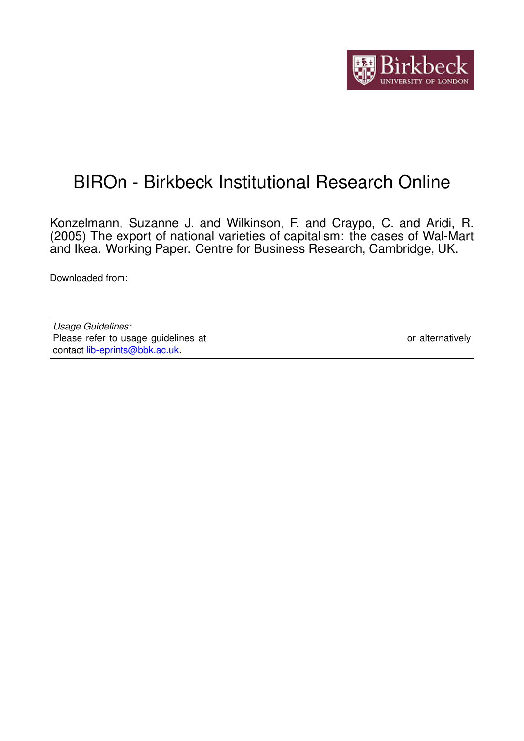

# BIROn - Birkbeck Institutional Research Online

Konzelmann, Suzanne J. and Wilkinson, F. and Craypo, C. and Aridi, R. (2005) The export of national varieties of capitalism: the cases of Wal-Mart and Ikea. Working Paper. Centre for Business Research, Cambridge, UK.

Downloaded from: <https://eprints.bbk.ac.uk/id/eprint/5858/>

*Usage Guidelines:* Please refer to usage guidelines at <https://eprints.bbk.ac.uk/policies.html> or alternatively contact [lib-eprints@bbk.ac.uk.](mailto:lib-eprints@bbk.ac.uk)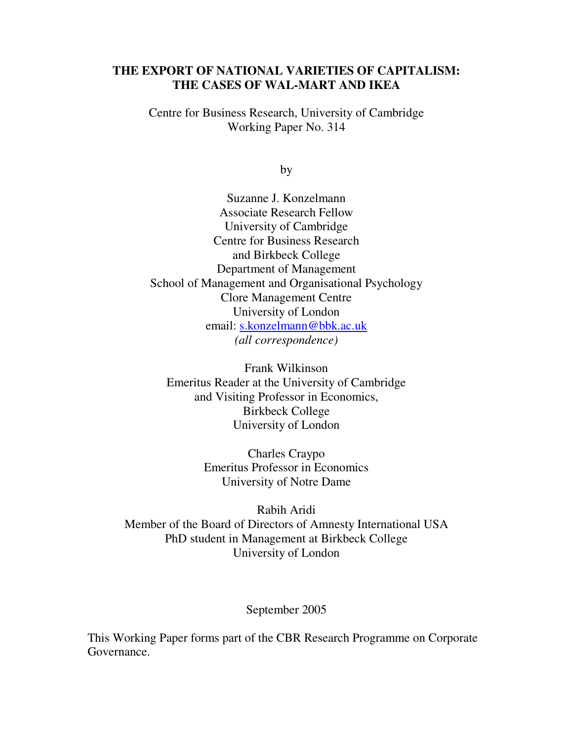#### **THE EXPORT OF NATIONAL VARIETIES OF CAPITALISM: THE CASES OF WAL-MART AND IKEA**

Centre for Business Research, University of Cambridge Working Paper No. 314

by

Suzanne J. Konzelmann Associate Research Fellow University of Cambridge Centre for Business Research and Birkbeck College Department of Management School of Management and Organisational Psychology Clore Management Centre University of London email: s.konzelmann@bbk.ac.uk *(all correspondence)*

Frank Wilkinson Emeritus Reader at the University of Cambridge and Visiting Professor in Economics, Birkbeck College University of London

> Charles Craypo Emeritus Professor in Economics University of Notre Dame

Rabih Aridi Member of the Board of Directors of Amnesty International USA PhD student in Management at Birkbeck College University of London

#### September 2005

This Working Paper forms part of the CBR Research Programme on Corporate Governance.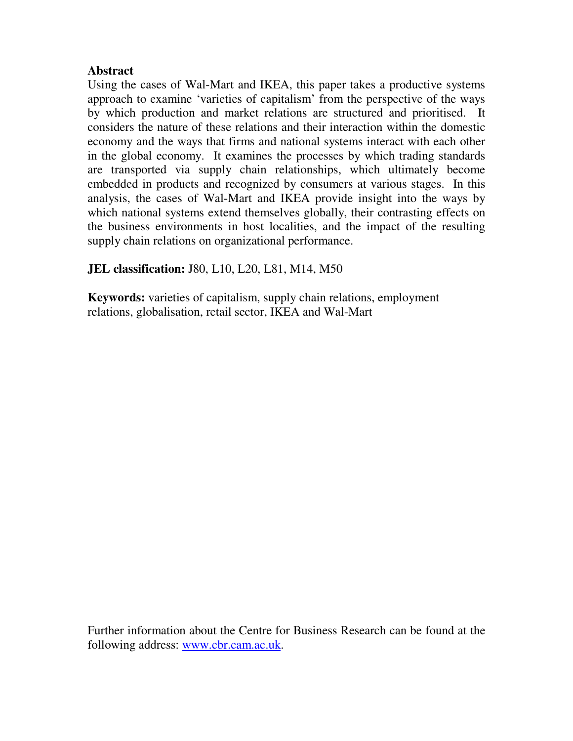## **Abstract**

Using the cases of Wal-Mart and IKEA, this paper takes a productive systems approach to examine 'varieties of capitalism' from the perspective of the ways by which production and market relations are structured and prioritised. It considers the nature of these relations and their interaction within the domestic economy and the ways that firms and national systems interact with each other in the global economy. It examines the processes by which trading standards are transported via supply chain relationships, which ultimately become embedded in products and recognized by consumers at various stages. In this analysis, the cases of Wal-Mart and IKEA provide insight into the ways by which national systems extend themselves globally, their contrasting effects on the business environments in host localities, and the impact of the resulting supply chain relations on organizational performance.

**JEL classification:** J80, L10, L20, L81, M14, M50

**Keywords:** varieties of capitalism, supply chain relations, employment relations, globalisation, retail sector, IKEA and Wal-Mart

Further information about the Centre for Business Research can be found at the following address: www.cbr.cam.ac.uk.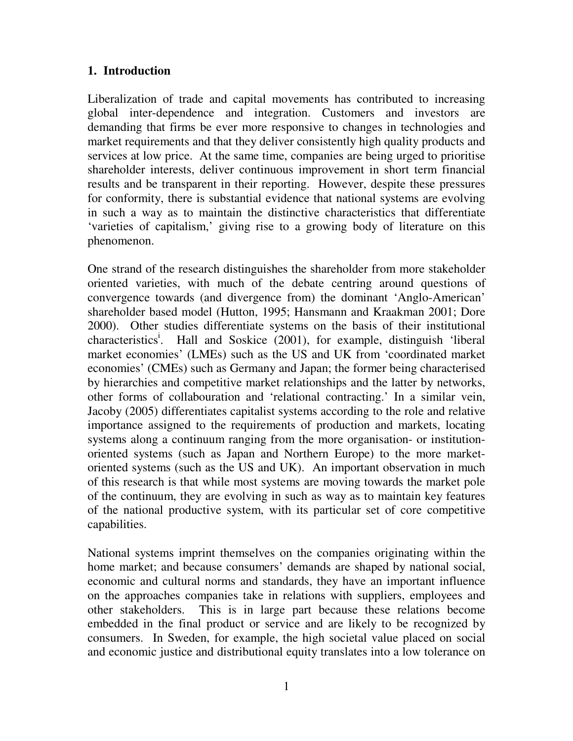## **1. Introduction**

Liberalization of trade and capital movements has contributed to increasing global inter-dependence and integration. Customers and investors are demanding that firms be ever more responsive to changes in technologies and market requirements and that they deliver consistently high quality products and services at low price. At the same time, companies are being urged to prioritise shareholder interests, deliver continuous improvement in short term financial results and be transparent in their reporting. However, despite these pressures for conformity, there is substantial evidence that national systems are evolving in such a way as to maintain the distinctive characteristics that differentiate 'varieties of capitalism,' giving rise to a growing body of literature on this phenomenon.

One strand of the research distinguishes the shareholder from more stakeholder oriented varieties, with much of the debate centring around questions of convergence towards (and divergence from) the dominant 'Anglo-American' shareholder based model (Hutton, 1995; Hansmann and Kraakman 2001; Dore 2000). Other studies differentiate systems on the basis of their institutional characteristics<sup>i</sup>. Hall and Soskice (2001), for example, distinguish 'liberal market economies' (LMEs) such as the US and UK from 'coordinated market economies' (CMEs) such as Germany and Japan; the former being characterised by hierarchies and competitive market relationships and the latter by networks, other forms of collabouration and 'relational contracting.' In a similar vein, Jacoby (2005) differentiates capitalist systems according to the role and relative importance assigned to the requirements of production and markets, locating systems along a continuum ranging from the more organisation- or institutionoriented systems (such as Japan and Northern Europe) to the more marketoriented systems (such as the US and UK). An important observation in much of this research is that while most systems are moving towards the market pole of the continuum, they are evolving in such as way as to maintain key features of the national productive system, with its particular set of core competitive capabilities.

National systems imprint themselves on the companies originating within the home market; and because consumers' demands are shaped by national social, economic and cultural norms and standards, they have an important influence on the approaches companies take in relations with suppliers, employees and other stakeholders. This is in large part because these relations become embedded in the final product or service and are likely to be recognized by consumers. In Sweden, for example, the high societal value placed on social and economic justice and distributional equity translates into a low tolerance on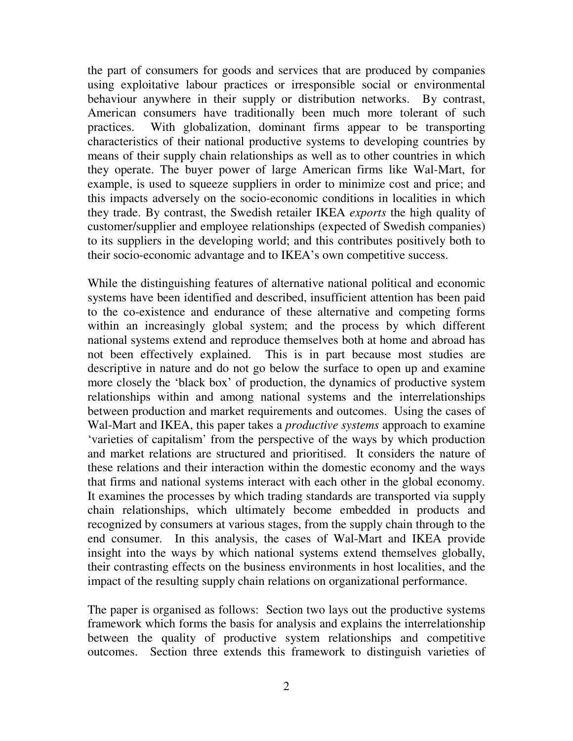the part of consumers for goods and services that are produced by companies using exploitative labour practices or irresponsible social or environmental behaviour anywhere in their supply or distribution networks. By contrast, American consumers have traditionally been much more tolerant of such practices. With globalization, dominant firms appear to be transporting characteristics of their national productive systems to developing countries by means of their supply chain relationships as well as to other countries in which they operate. The buyer power of large American firms like Wal-Mart, for example, is used to squeeze suppliers in order to minimize cost and price; and this impacts adversely on the socio-economic conditions in localities in which they trade. By contrast, the Swedish retailer IKEA *exports* the high quality of customer/supplier and employee relationships (expected of Swedish companies) to its suppliers in the developing world; and this contributes positively both to their socio-economic advantage and to IKEA's own competitive success.

While the distinguishing features of alternative national political and economic systems have been identified and described, insufficient attention has been paid to the co-existence and endurance of these alternative and competing forms within an increasingly global system; and the process by which different national systems extend and reproduce themselves both at home and abroad has not been effectively explained. This is in part because most studies are descriptive in nature and do not go below the surface to open up and examine more closely the 'black box' of production, the dynamics of productive system relationships within and among national systems and the interrelationships between production and market requirements and outcomes. Using the cases of Wal-Mart and IKEA, this paper takes a *productive systems* approach to examine 'varieties of capitalism' from the perspective of the ways by which production and market relations are structured and prioritised. It considers the nature of these relations and their interaction within the domestic economy and the ways that firms and national systems interact with each other in the global economy. It examines the processes by which trading standards are transported via supply chain relationships, which ultimately become embedded in products and recognized by consumers at various stages, from the supply chain through to the end consumer. In this analysis, the cases of Wal-Mart and IKEA provide insight into the ways by which national systems extend themselves globally, their contrasting effects on the business environments in host localities, and the impact of the resulting supply chain relations on organizational performance.

The paper is organised as follows: Section two lays out the productive systems framework which forms the basis for analysis and explains the interrelationship between the quality of productive system relationships and competitive outcomes. Section three extends this framework to distinguish varieties of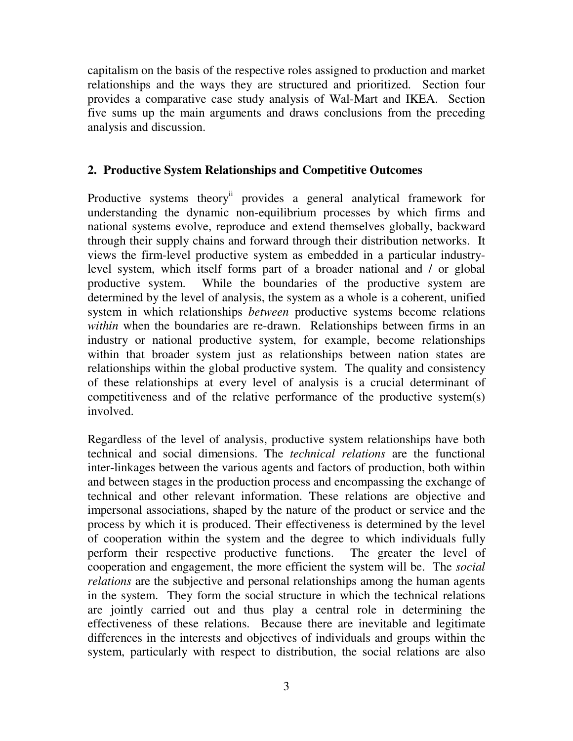capitalism on the basis of the respective roles assigned to production and market relationships and the ways they are structured and prioritized. Section four provides a comparative case study analysis of Wal-Mart and IKEA. Section five sums up the main arguments and draws conclusions from the preceding analysis and discussion.

#### **2. Productive System Relationships and Competitive Outcomes**

Productive systems theory<sup>ii</sup> provides a general analytical framework for understanding the dynamic non-equilibrium processes by which firms and national systems evolve, reproduce and extend themselves globally, backward through their supply chains and forward through their distribution networks. It views the firm-level productive system as embedded in a particular industrylevel system, which itself forms part of a broader national and / or global productive system. While the boundaries of the productive system are determined by the level of analysis, the system as a whole is a coherent, unified system in which relationships *between* productive systems become relations *within* when the boundaries are re-drawn. Relationships between firms in an industry or national productive system, for example, become relationships within that broader system just as relationships between nation states are relationships within the global productive system. The quality and consistency of these relationships at every level of analysis is a crucial determinant of competitiveness and of the relative performance of the productive system(s) involved.

Regardless of the level of analysis, productive system relationships have both technical and social dimensions. The *technical relations* are the functional inter-linkages between the various agents and factors of production, both within and between stages in the production process and encompassing the exchange of technical and other relevant information. These relations are objective and impersonal associations, shaped by the nature of the product or service and the process by which it is produced. Their effectiveness is determined by the level of cooperation within the system and the degree to which individuals fully perform their respective productive functions. The greater the level of cooperation and engagement, the more efficient the system will be. The *social relations* are the subjective and personal relationships among the human agents in the system. They form the social structure in which the technical relations are jointly carried out and thus play a central role in determining the effectiveness of these relations. Because there are inevitable and legitimate differences in the interests and objectives of individuals and groups within the system, particularly with respect to distribution, the social relations are also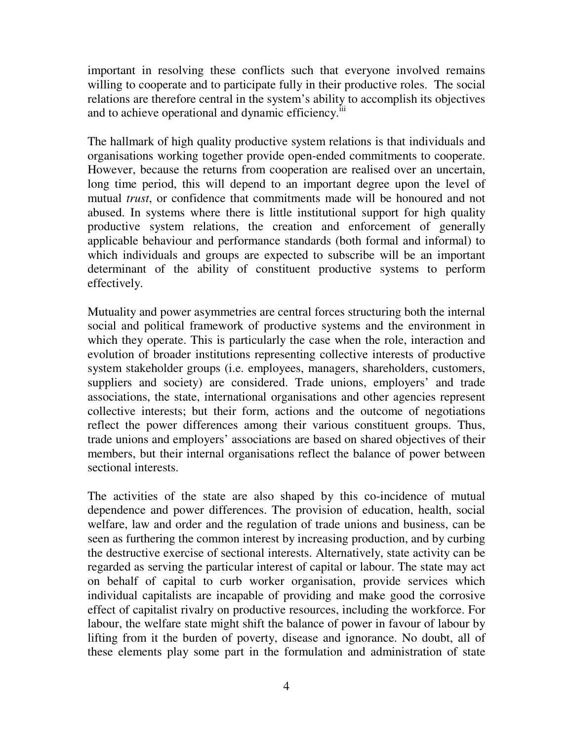important in resolving these conflicts such that everyone involved remains willing to cooperate and to participate fully in their productive roles. The social relations are therefore central in the system's ability to accomplish its objectives and to achieve operational and dynamic efficiency.<sup>iii</sup>

The hallmark of high quality productive system relations is that individuals and organisations working together provide open-ended commitments to cooperate. However, because the returns from cooperation are realised over an uncertain, long time period, this will depend to an important degree upon the level of mutual *trust*, or confidence that commitments made will be honoured and not abused. In systems where there is little institutional support for high quality productive system relations, the creation and enforcement of generally applicable behaviour and performance standards (both formal and informal) to which individuals and groups are expected to subscribe will be an important determinant of the ability of constituent productive systems to perform effectively.

Mutuality and power asymmetries are central forces structuring both the internal social and political framework of productive systems and the environment in which they operate. This is particularly the case when the role, interaction and evolution of broader institutions representing collective interests of productive system stakeholder groups (i.e. employees, managers, shareholders, customers, suppliers and society) are considered. Trade unions, employers' and trade associations, the state, international organisations and other agencies represent collective interests; but their form, actions and the outcome of negotiations reflect the power differences among their various constituent groups. Thus, trade unions and employers' associations are based on shared objectives of their members, but their internal organisations reflect the balance of power between sectional interests.

The activities of the state are also shaped by this co-incidence of mutual dependence and power differences. The provision of education, health, social welfare, law and order and the regulation of trade unions and business, can be seen as furthering the common interest by increasing production, and by curbing the destructive exercise of sectional interests. Alternatively, state activity can be regarded as serving the particular interest of capital or labour. The state may act on behalf of capital to curb worker organisation, provide services which individual capitalists are incapable of providing and make good the corrosive effect of capitalist rivalry on productive resources, including the workforce. For labour, the welfare state might shift the balance of power in favour of labour by lifting from it the burden of poverty, disease and ignorance. No doubt, all of these elements play some part in the formulation and administration of state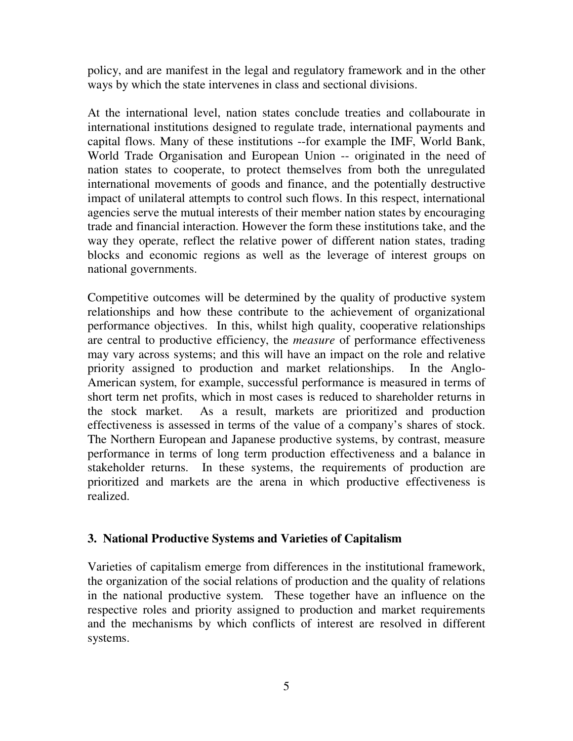policy, and are manifest in the legal and regulatory framework and in the other ways by which the state intervenes in class and sectional divisions.

At the international level, nation states conclude treaties and collabourate in international institutions designed to regulate trade, international payments and capital flows. Many of these institutions --for example the IMF, World Bank, World Trade Organisation and European Union -- originated in the need of nation states to cooperate, to protect themselves from both the unregulated international movements of goods and finance, and the potentially destructive impact of unilateral attempts to control such flows. In this respect, international agencies serve the mutual interests of their member nation states by encouraging trade and financial interaction. However the form these institutions take, and the way they operate, reflect the relative power of different nation states, trading blocks and economic regions as well as the leverage of interest groups on national governments.

Competitive outcomes will be determined by the quality of productive system relationships and how these contribute to the achievement of organizational performance objectives. In this, whilst high quality, cooperative relationships are central to productive efficiency, the *measure* of performance effectiveness may vary across systems; and this will have an impact on the role and relative priority assigned to production and market relationships. In the Anglo-American system, for example, successful performance is measured in terms of short term net profits, which in most cases is reduced to shareholder returns in the stock market. As a result, markets are prioritized and production effectiveness is assessed in terms of the value of a company's shares of stock. The Northern European and Japanese productive systems, by contrast, measure performance in terms of long term production effectiveness and a balance in stakeholder returns. In these systems, the requirements of production are prioritized and markets are the arena in which productive effectiveness is realized.

## **3. National Productive Systems and Varieties of Capitalism**

Varieties of capitalism emerge from differences in the institutional framework, the organization of the social relations of production and the quality of relations in the national productive system. These together have an influence on the respective roles and priority assigned to production and market requirements and the mechanisms by which conflicts of interest are resolved in different systems.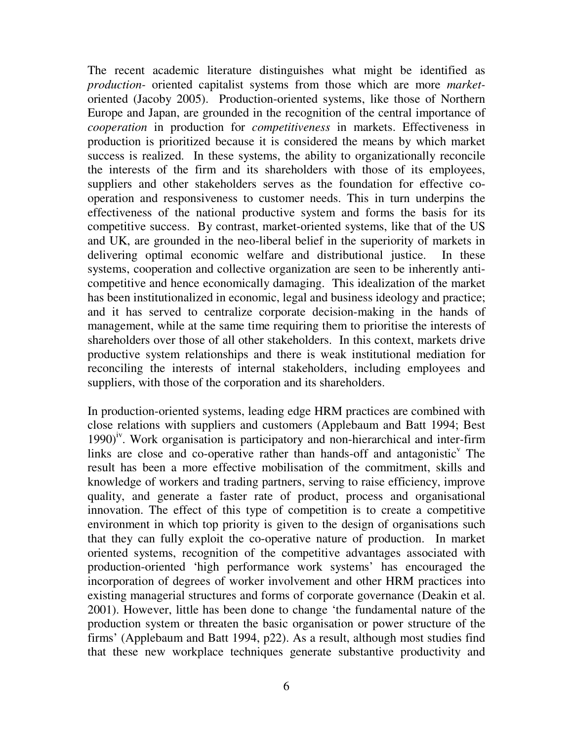The recent academic literature distinguishes what might be identified as *production-* oriented capitalist systems from those which are more *market*oriented (Jacoby 2005). Production-oriented systems, like those of Northern Europe and Japan, are grounded in the recognition of the central importance of *cooperation* in production for *competitiveness* in markets. Effectiveness in production is prioritized because it is considered the means by which market success is realized. In these systems, the ability to organizationally reconcile the interests of the firm and its shareholders with those of its employees, suppliers and other stakeholders serves as the foundation for effective cooperation and responsiveness to customer needs. This in turn underpins the effectiveness of the national productive system and forms the basis for its competitive success. By contrast, market-oriented systems, like that of the US and UK, are grounded in the neo-liberal belief in the superiority of markets in delivering optimal economic welfare and distributional justice. In these systems, cooperation and collective organization are seen to be inherently anticompetitive and hence economically damaging. This idealization of the market has been institutionalized in economic, legal and business ideology and practice; and it has served to centralize corporate decision-making in the hands of management, while at the same time requiring them to prioritise the interests of shareholders over those of all other stakeholders. In this context, markets drive productive system relationships and there is weak institutional mediation for reconciling the interests of internal stakeholders, including employees and suppliers, with those of the corporation and its shareholders.

In production-oriented systems, leading edge HRM practices are combined with close relations with suppliers and customers (Applebaum and Batt 1994; Best 1990)<sup>iv</sup>. Work organisation is participatory and non-hierarchical and inter-firm links are close and co-operative rather than hands-off and antagonistic<sup>V</sup> The result has been a more effective mobilisation of the commitment, skills and knowledge of workers and trading partners, serving to raise efficiency, improve quality, and generate a faster rate of product, process and organisational innovation. The effect of this type of competition is to create a competitive environment in which top priority is given to the design of organisations such that they can fully exploit the co-operative nature of production. In market oriented systems, recognition of the competitive advantages associated with production-oriented 'high performance work systems' has encouraged the incorporation of degrees of worker involvement and other HRM practices into existing managerial structures and forms of corporate governance (Deakin et al. 2001). However, little has been done to change 'the fundamental nature of the production system or threaten the basic organisation or power structure of the firms' (Applebaum and Batt 1994, p22). As a result, although most studies find that these new workplace techniques generate substantive productivity and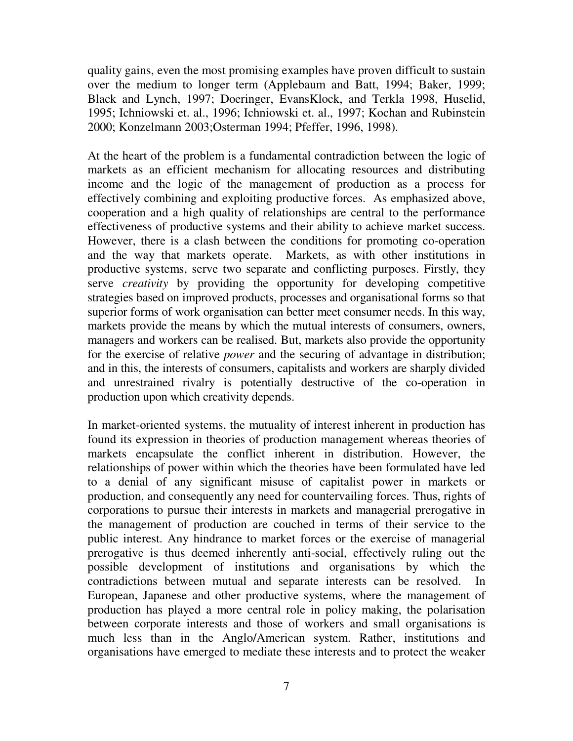quality gains, even the most promising examples have proven difficult to sustain over the medium to longer term (Applebaum and Batt, 1994; Baker, 1999; Black and Lynch, 1997; Doeringer, EvansKlock, and Terkla 1998, Huselid, 1995; Ichniowski et. al., 1996; Ichniowski et. al., 1997; Kochan and Rubinstein 2000; Konzelmann 2003;Osterman 1994; Pfeffer, 1996, 1998).

At the heart of the problem is a fundamental contradiction between the logic of markets as an efficient mechanism for allocating resources and distributing income and the logic of the management of production as a process for effectively combining and exploiting productive forces. As emphasized above, cooperation and a high quality of relationships are central to the performance effectiveness of productive systems and their ability to achieve market success. However, there is a clash between the conditions for promoting co-operation and the way that markets operate. Markets, as with other institutions in productive systems, serve two separate and conflicting purposes. Firstly, they serve *creativity* by providing the opportunity for developing competitive strategies based on improved products, processes and organisational forms so that superior forms of work organisation can better meet consumer needs. In this way, markets provide the means by which the mutual interests of consumers, owners, managers and workers can be realised. But, markets also provide the opportunity for the exercise of relative *power* and the securing of advantage in distribution; and in this, the interests of consumers, capitalists and workers are sharply divided and unrestrained rivalry is potentially destructive of the co-operation in production upon which creativity depends.

In market-oriented systems, the mutuality of interest inherent in production has found its expression in theories of production management whereas theories of markets encapsulate the conflict inherent in distribution. However, the relationships of power within which the theories have been formulated have led to a denial of any significant misuse of capitalist power in markets or production, and consequently any need for countervailing forces. Thus, rights of corporations to pursue their interests in markets and managerial prerogative in the management of production are couched in terms of their service to the public interest. Any hindrance to market forces or the exercise of managerial prerogative is thus deemed inherently anti-social, effectively ruling out the possible development of institutions and organisations by which the contradictions between mutual and separate interests can be resolved. In European, Japanese and other productive systems, where the management of production has played a more central role in policy making, the polarisation between corporate interests and those of workers and small organisations is much less than in the Anglo/American system. Rather, institutions and organisations have emerged to mediate these interests and to protect the weaker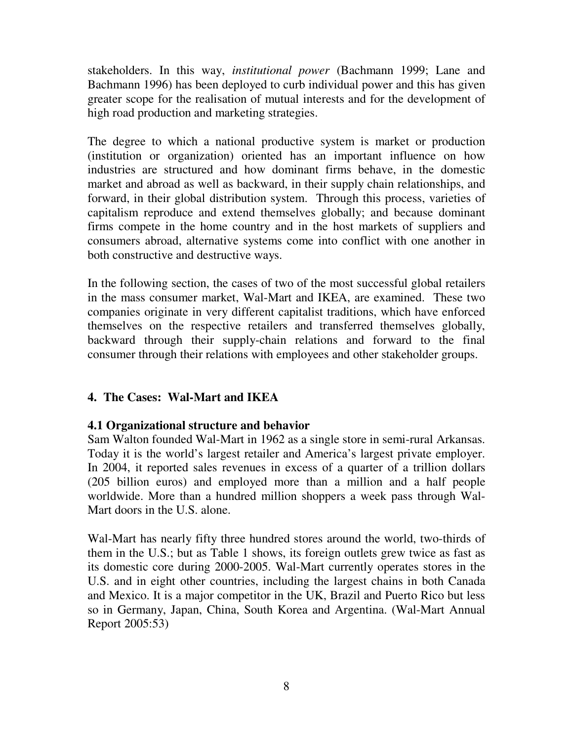stakeholders. In this way, *institutional power* (Bachmann 1999; Lane and Bachmann 1996) has been deployed to curb individual power and this has given greater scope for the realisation of mutual interests and for the development of high road production and marketing strategies.

The degree to which a national productive system is market or production (institution or organization) oriented has an important influence on how industries are structured and how dominant firms behave, in the domestic market and abroad as well as backward, in their supply chain relationships, and forward, in their global distribution system. Through this process, varieties of capitalism reproduce and extend themselves globally; and because dominant firms compete in the home country and in the host markets of suppliers and consumers abroad, alternative systems come into conflict with one another in both constructive and destructive ways.

In the following section, the cases of two of the most successful global retailers in the mass consumer market, Wal-Mart and IKEA, are examined. These two companies originate in very different capitalist traditions, which have enforced themselves on the respective retailers and transferred themselves globally, backward through their supply-chain relations and forward to the final consumer through their relations with employees and other stakeholder groups.

# **4. The Cases: Wal-Mart and IKEA**

## **4.1 Organizational structure and behavior**

Sam Walton founded Wal-Mart in 1962 as a single store in semi-rural Arkansas. Today it is the world's largest retailer and America's largest private employer. In 2004, it reported sales revenues in excess of a quarter of a trillion dollars (205 billion euros) and employed more than a million and a half people worldwide. More than a hundred million shoppers a week pass through Wal-Mart doors in the U.S. alone.

Wal-Mart has nearly fifty three hundred stores around the world, two-thirds of them in the U.S.; but as Table 1 shows, its foreign outlets grew twice as fast as its domestic core during 2000-2005. Wal-Mart currently operates stores in the U.S. and in eight other countries, including the largest chains in both Canada and Mexico. It is a major competitor in the UK, Brazil and Puerto Rico but less so in Germany, Japan, China, South Korea and Argentina. (Wal-Mart Annual Report 2005:53)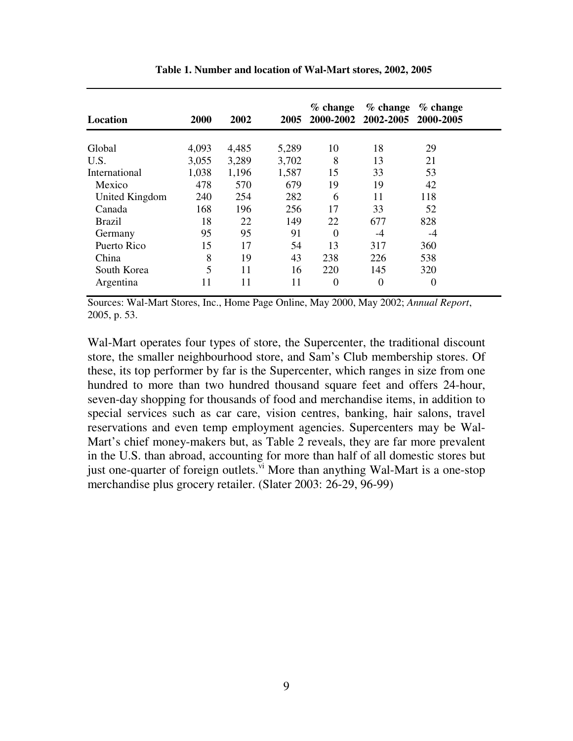| Location       | 2000  | 2002  | 2005  | $%$ change       | $\%$ change<br>2000-2002 2002-2005 2000-2005 | $%$ change |  |
|----------------|-------|-------|-------|------------------|----------------------------------------------|------------|--|
| Global         | 4,093 | 4,485 | 5,289 | 10               | 18                                           | 29         |  |
| U.S.           | 3,055 | 3,289 | 3,702 | 8                | 13                                           | 21         |  |
| International  | 1,038 | 1,196 | 1,587 | 15               | 33                                           | 53         |  |
| Mexico         | 478   | 570   | 679   | 19               | 19                                           | 42         |  |
| United Kingdom | 240   | 254   | 282   | 6                | 11                                           | 118        |  |
| Canada         | 168   | 196   | 256   | 17               | 33                                           | 52         |  |
| <b>Brazil</b>  | 18    | 22    | 149   | 22               | 677                                          | 828        |  |
| Germany        | 95    | 95    | 91    | $\Omega$         | -4                                           | $-4$       |  |
| Puerto Rico    | 15    | 17    | 54    | 13               | 317                                          | 360        |  |
| China          | 8     | 19    | 43    | 238              | 226                                          | 538        |  |
| South Korea    | 5     | 11    | 16    | 220              | 145                                          | 320        |  |
| Argentina      | 11    | 11    | 11    | $\boldsymbol{0}$ | $\boldsymbol{0}$                             | $\theta$   |  |

**Table 1. Number and location of Wal-Mart stores, 2002, 2005**

Sources: Wal-Mart Stores, Inc., Home Page Online, May 2000, May 2002; *Annual Report*, 2005, p. 53.

Wal-Mart operates four types of store, the Supercenter, the traditional discount store, the smaller neighbourhood store, and Sam's Club membership stores. Of these, its top performer by far is the Supercenter, which ranges in size from one hundred to more than two hundred thousand square feet and offers 24-hour, seven-day shopping for thousands of food and merchandise items, in addition to special services such as car care, vision centres, banking, hair salons, travel reservations and even temp employment agencies. Supercenters may be Wal-Mart's chief money-makers but, as Table 2 reveals, they are far more prevalent in the U.S. than abroad, accounting for more than half of all domestic stores but just one-quarter of foreign outlets. <sup>vi</sup> More than anything Wal-Mart is a one-stop merchandise plus grocery retailer. (Slater 2003: 26-29, 96-99)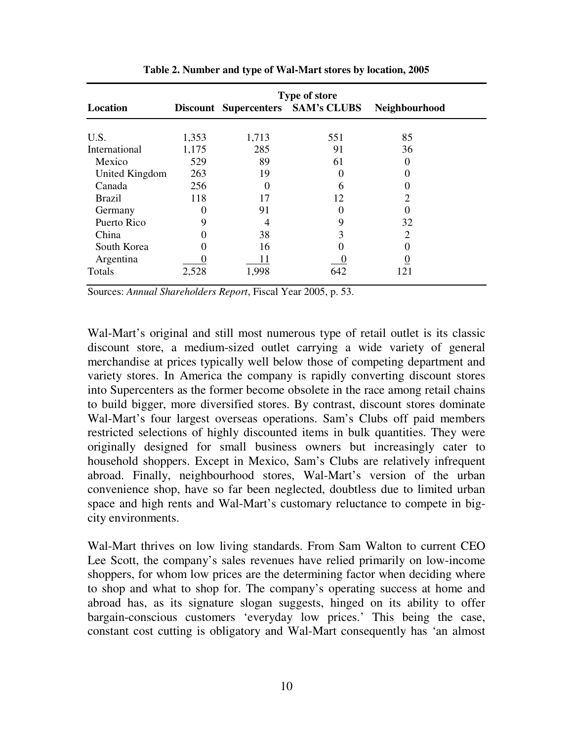| Location       |       |       | <b>Type of store</b><br>Discount Supercenters SAM's CLUBS | Neighbourhood |
|----------------|-------|-------|-----------------------------------------------------------|---------------|
|                |       |       |                                                           |               |
| U.S.           | 1,353 | 1,713 | 551                                                       | 85            |
| International  | 1,175 | 285   | 91                                                        | 36            |
| Mexico         | 529   | 89    | 61                                                        |               |
| United Kingdom | 263   | 19    |                                                           |               |
| Canada         | 256   |       | n                                                         |               |
| <b>Brazil</b>  | 118   |       | 12                                                        | 2             |
| Germany        | 0     | 91    | 0                                                         |               |
| Puerto Rico    | 9     |       | 9                                                         | 32            |
| China          |       | 38    | 3                                                         | 2             |
| South Korea    |       | 16    |                                                           |               |
| Argentina      |       |       |                                                           |               |
| Totals         | 2,528 | 1,998 | 642                                                       | 121           |

**Table 2. Number and type of Wal-Mart stores by location, 2005**

Sources: *Annual Shareholders Report*, Fiscal Year 2005, p. 53.

Wal-Mart's original and still most numerous type of retail outlet is its classic discount store, a medium-sized outlet carrying a wide variety of general merchandise at prices typically well below those of competing department and variety stores. In America the company is rapidly converting discount stores into Supercenters as the former become obsolete in the race among retail chains to build bigger, more diversified stores. By contrast, discount stores dominate Wal-Mart's four largest overseas operations. Sam's Clubs off paid members restricted selections of highly discounted items in bulk quantities. They were originally designed for small business owners but increasingly cater to household shoppers. Except in Mexico, Sam's Clubs are relatively infrequent abroad. Finally, neighbourhood stores, Wal-Mart's version of the urban convenience shop, have so far been neglected, doubtless due to limited urban space and high rents and Wal-Mart's customary reluctance to compete in bigcity environments.

Wal-Mart thrives on low living standards. From Sam Walton to current CEO Lee Scott, the company's sales revenues have relied primarily on low-income shoppers, for whom low prices are the determining factor when deciding where to shop and what to shop for. The company's operating success at home and abroad has, as its signature slogan suggests, hinged on its ability to offer bargain-conscious customers 'everyday low prices.' This being the case, constant cost cutting is obligatory and Wal-Mart consequently has 'an almost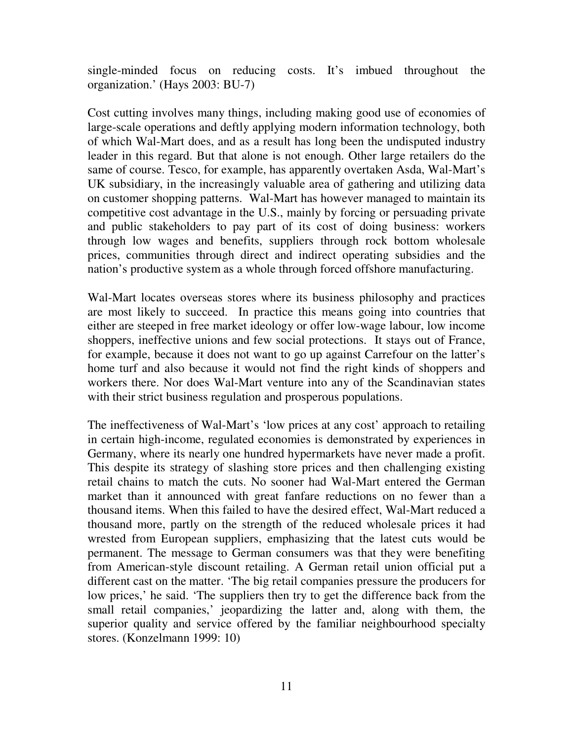single-minded focus on reducing costs. It's imbued throughout the organization.' (Hays 2003: BU-7)

Cost cutting involves many things, including making good use of economies of large-scale operations and deftly applying modern information technology, both of which Wal-Mart does, and as a result has long been the undisputed industry leader in this regard. But that alone is not enough. Other large retailers do the same of course. Tesco, for example, has apparently overtaken Asda, Wal-Mart's UK subsidiary, in the increasingly valuable area of gathering and utilizing data on customer shopping patterns. Wal-Mart has however managed to maintain its competitive cost advantage in the U.S., mainly by forcing or persuading private and public stakeholders to pay part of its cost of doing business: workers through low wages and benefits, suppliers through rock bottom wholesale prices, communities through direct and indirect operating subsidies and the nation's productive system as a whole through forced offshore manufacturing.

Wal-Mart locates overseas stores where its business philosophy and practices are most likely to succeed. In practice this means going into countries that either are steeped in free market ideology or offer low-wage labour, low income shoppers, ineffective unions and few social protections. It stays out of France, for example, because it does not want to go up against Carrefour on the latter's home turf and also because it would not find the right kinds of shoppers and workers there. Nor does Wal-Mart venture into any of the Scandinavian states with their strict business regulation and prosperous populations.

The ineffectiveness of Wal-Mart's 'low prices at any cost' approach to retailing in certain high-income, regulated economies is demonstrated by experiences in Germany, where its nearly one hundred hypermarkets have never made a profit. This despite its strategy of slashing store prices and then challenging existing retail chains to match the cuts. No sooner had Wal-Mart entered the German market than it announced with great fanfare reductions on no fewer than a thousand items. When this failed to have the desired effect, Wal-Mart reduced a thousand more, partly on the strength of the reduced wholesale prices it had wrested from European suppliers, emphasizing that the latest cuts would be permanent. The message to German consumers was that they were benefiting from American-style discount retailing. A German retail union official put a different cast on the matter. 'The big retail companies pressure the producers for low prices,' he said. 'The suppliers then try to get the difference back from the small retail companies,' jeopardizing the latter and, along with them, the superior quality and service offered by the familiar neighbourhood specialty stores. (Konzelmann 1999: 10)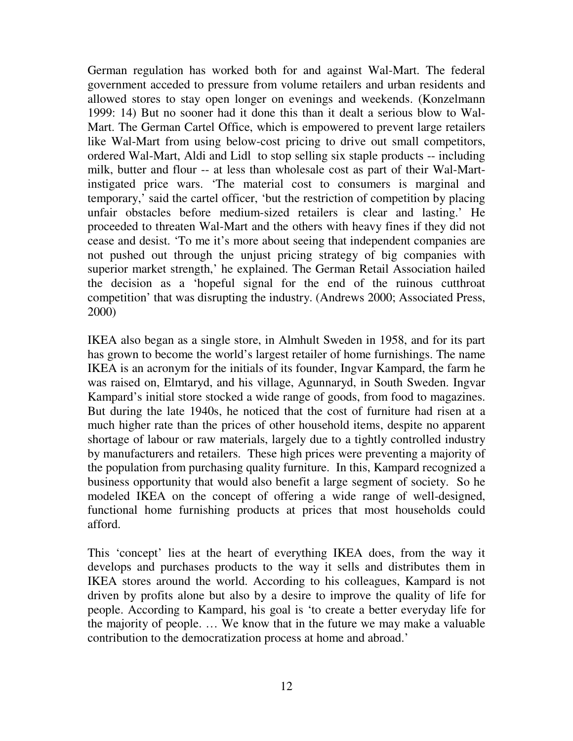German regulation has worked both for and against Wal-Mart. The federal government acceded to pressure from volume retailers and urban residents and allowed stores to stay open longer on evenings and weekends. (Konzelmann 1999: 14) But no sooner had it done this than it dealt a serious blow to Wal-Mart. The German Cartel Office, which is empowered to prevent large retailers like Wal-Mart from using below-cost pricing to drive out small competitors, ordered Wal-Mart, Aldi and Lidl to stop selling six staple products -- including milk, butter and flour -- at less than wholesale cost as part of their Wal-Martinstigated price wars. 'The material cost to consumers is marginal and temporary,' said the cartel officer, 'but the restriction of competition by placing unfair obstacles before medium-sized retailers is clear and lasting.' He proceeded to threaten Wal-Mart and the others with heavy fines if they did not cease and desist. 'To me it's more about seeing that independent companies are not pushed out through the unjust pricing strategy of big companies with superior market strength,' he explained. The German Retail Association hailed the decision as a 'hopeful signal for the end of the ruinous cutthroat competition' that was disrupting the industry. (Andrews 2000; Associated Press, 2000)

IKEA also began as a single store, in Almhult Sweden in 1958, and for its part has grown to become the world's largest retailer of home furnishings. The name IKEA is an acronym for the initials of its founder, Ingvar Kampard, the farm he was raised on, Elmtaryd, and his village, Agunnaryd, in South Sweden. Ingvar Kampard's initial store stocked a wide range of goods, from food to magazines. But during the late 1940s, he noticed that the cost of furniture had risen at a much higher rate than the prices of other household items, despite no apparent shortage of labour or raw materials, largely due to a tightly controlled industry by manufacturers and retailers. These high prices were preventing a majority of the population from purchasing quality furniture. In this, Kampard recognized a business opportunity that would also benefit a large segment of society. So he modeled IKEA on the concept of offering a wide range of well-designed, functional home furnishing products at prices that most households could afford.

This 'concept' lies at the heart of everything IKEA does, from the way it develops and purchases products to the way it sells and distributes them in IKEA stores around the world. According to his colleagues, Kampard is not driven by profits alone but also by a desire to improve the quality of life for people. According to Kampard, his goal is 'to create a better everyday life for the majority of people. … We know that in the future we may make a valuable contribution to the democratization process at home and abroad.'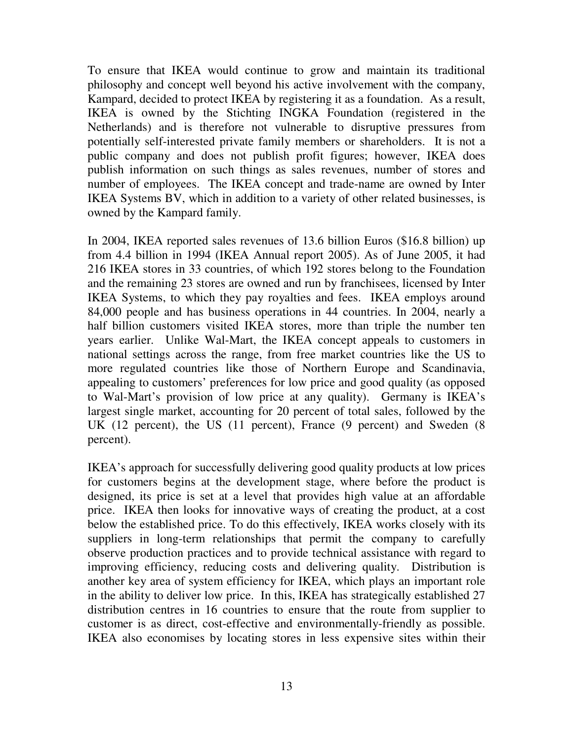To ensure that IKEA would continue to grow and maintain its traditional philosophy and concept well beyond his active involvement with the company, Kampard, decided to protect IKEA by registering it as a foundation. As a result, IKEA is owned by the Stichting INGKA Foundation (registered in the Netherlands) and is therefore not vulnerable to disruptive pressures from potentially self-interested private family members or shareholders. It is not a public company and does not publish profit figures; however, IKEA does publish information on such things as sales revenues, number of stores and number of employees. The IKEA concept and trade-name are owned by Inter IKEA Systems BV, which in addition to a variety of other related businesses, is owned by the Kampard family.

In 2004, IKEA reported sales revenues of 13.6 billion Euros (\$16.8 billion) up from 4.4 billion in 1994 (IKEA Annual report 2005). As of June 2005, it had 216 IKEA stores in 33 countries, of which 192 stores belong to the Foundation and the remaining 23 stores are owned and run by franchisees, licensed by Inter IKEA Systems, to which they pay royalties and fees. IKEA employs around 84,000 people and has business operations in 44 countries. In 2004, nearly a half billion customers visited IKEA stores, more than triple the number ten years earlier. Unlike Wal-Mart, the IKEA concept appeals to customers in national settings across the range, from free market countries like the US to more regulated countries like those of Northern Europe and Scandinavia, appealing to customers' preferences for low price and good quality (as opposed to Wal-Mart's provision of low price at any quality). Germany is IKEA's largest single market, accounting for 20 percent of total sales, followed by the UK (12 percent), the US (11 percent), France (9 percent) and Sweden (8 percent).

IKEA's approach for successfully delivering good quality products at low prices for customers begins at the development stage, where before the product is designed, its price is set at a level that provides high value at an affordable price. IKEA then looks for innovative ways of creating the product, at a cost below the established price. To do this effectively, IKEA works closely with its suppliers in long-term relationships that permit the company to carefully observe production practices and to provide technical assistance with regard to improving efficiency, reducing costs and delivering quality. Distribution is another key area of system efficiency for IKEA, which plays an important role in the ability to deliver low price. In this, IKEA has strategically established 27 distribution centres in 16 countries to ensure that the route from supplier to customer is as direct, cost-effective and environmentally-friendly as possible. IKEA also economises by locating stores in less expensive sites within their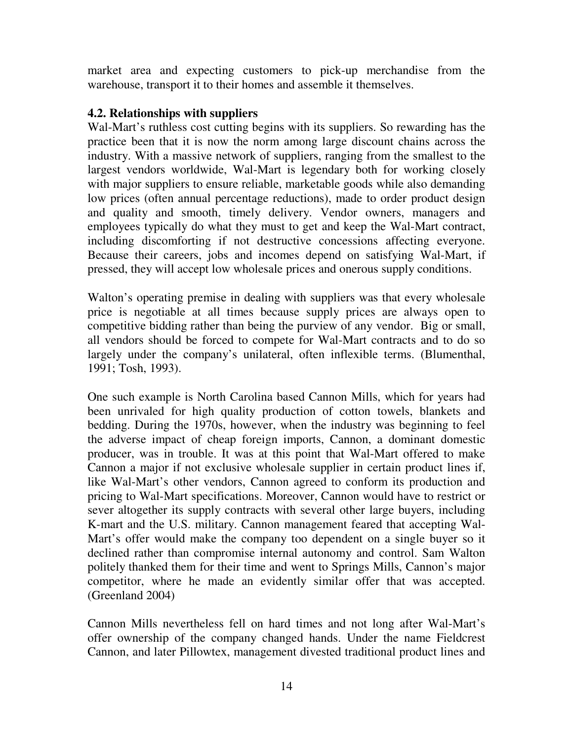market area and expecting customers to pick-up merchandise from the warehouse, transport it to their homes and assemble it themselves.

## **4.2. Relationships with suppliers**

Wal-Mart's ruthless cost cutting begins with its suppliers. So rewarding has the practice been that it is now the norm among large discount chains across the industry. With a massive network of suppliers, ranging from the smallest to the largest vendors worldwide, Wal-Mart is legendary both for working closely with major suppliers to ensure reliable, marketable goods while also demanding low prices (often annual percentage reductions), made to order product design and quality and smooth, timely delivery. Vendor owners, managers and employees typically do what they must to get and keep the Wal-Mart contract, including discomforting if not destructive concessions affecting everyone. Because their careers, jobs and incomes depend on satisfying Wal-Mart, if pressed, they will accept low wholesale prices and onerous supply conditions.

Walton's operating premise in dealing with suppliers was that every wholesale price is negotiable at all times because supply prices are always open to competitive bidding rather than being the purview of any vendor. Big or small, all vendors should be forced to compete for Wal-Mart contracts and to do so largely under the company's unilateral, often inflexible terms. (Blumenthal, 1991; Tosh, 1993).

One such example is North Carolina based Cannon Mills, which for years had been unrivaled for high quality production of cotton towels, blankets and bedding. During the 1970s, however, when the industry was beginning to feel the adverse impact of cheap foreign imports, Cannon, a dominant domestic producer, was in trouble. It was at this point that Wal-Mart offered to make Cannon a major if not exclusive wholesale supplier in certain product lines if, like Wal-Mart's other vendors, Cannon agreed to conform its production and pricing to Wal-Mart specifications. Moreover, Cannon would have to restrict or sever altogether its supply contracts with several other large buyers, including K-mart and the U.S. military. Cannon management feared that accepting Wal-Mart's offer would make the company too dependent on a single buyer so it declined rather than compromise internal autonomy and control. Sam Walton politely thanked them for their time and went to Springs Mills, Cannon's major competitor, where he made an evidently similar offer that was accepted. (Greenland 2004)

Cannon Mills nevertheless fell on hard times and not long after Wal-Mart's offer ownership of the company changed hands. Under the name Fieldcrest Cannon, and later Pillowtex, management divested traditional product lines and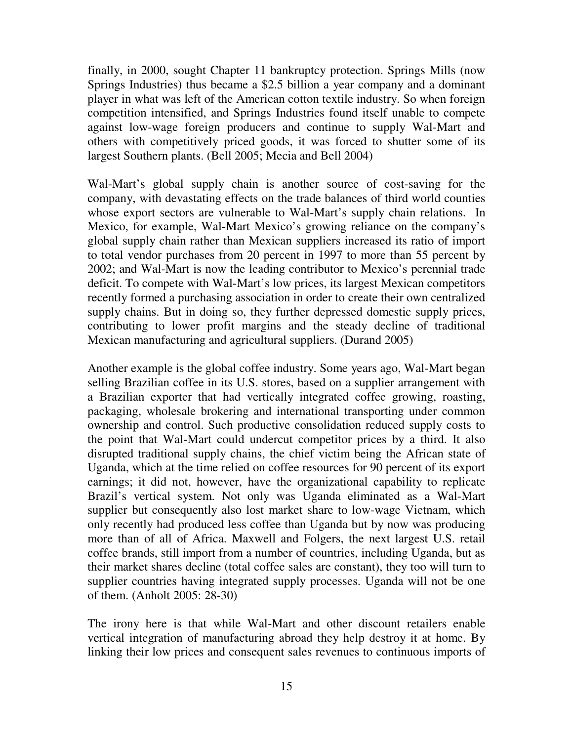finally, in 2000, sought Chapter 11 bankruptcy protection. Springs Mills (now Springs Industries) thus became a \$2.5 billion a year company and a dominant player in what was left of the American cotton textile industry. So when foreign competition intensified, and Springs Industries found itself unable to compete against low-wage foreign producers and continue to supply Wal-Mart and others with competitively priced goods, it was forced to shutter some of its largest Southern plants. (Bell 2005; Mecia and Bell 2004)

Wal-Mart's global supply chain is another source of cost-saving for the company, with devastating effects on the trade balances of third world counties whose export sectors are vulnerable to Wal-Mart's supply chain relations. In Mexico, for example, Wal-Mart Mexico's growing reliance on the company's global supply chain rather than Mexican suppliers increased its ratio of import to total vendor purchases from 20 percent in 1997 to more than 55 percent by 2002; and Wal-Mart is now the leading contributor to Mexico's perennial trade deficit. To compete with Wal-Mart's low prices, its largest Mexican competitors recently formed a purchasing association in order to create their own centralized supply chains. But in doing so, they further depressed domestic supply prices, contributing to lower profit margins and the steady decline of traditional Mexican manufacturing and agricultural suppliers. (Durand 2005)

Another example is the global coffee industry. Some years ago, Wal-Mart began selling Brazilian coffee in its U.S. stores, based on a supplier arrangement with a Brazilian exporter that had vertically integrated coffee growing, roasting, packaging, wholesale brokering and international transporting under common ownership and control. Such productive consolidation reduced supply costs to the point that Wal-Mart could undercut competitor prices by a third. It also disrupted traditional supply chains, the chief victim being the African state of Uganda, which at the time relied on coffee resources for 90 percent of its export earnings; it did not, however, have the organizational capability to replicate Brazil's vertical system. Not only was Uganda eliminated as a Wal-Mart supplier but consequently also lost market share to low-wage Vietnam, which only recently had produced less coffee than Uganda but by now was producing more than of all of Africa. Maxwell and Folgers, the next largest U.S. retail coffee brands, still import from a number of countries, including Uganda, but as their market shares decline (total coffee sales are constant), they too will turn to supplier countries having integrated supply processes. Uganda will not be one of them. (Anholt 2005: 28-30)

The irony here is that while Wal-Mart and other discount retailers enable vertical integration of manufacturing abroad they help destroy it at home. By linking their low prices and consequent sales revenues to continuous imports of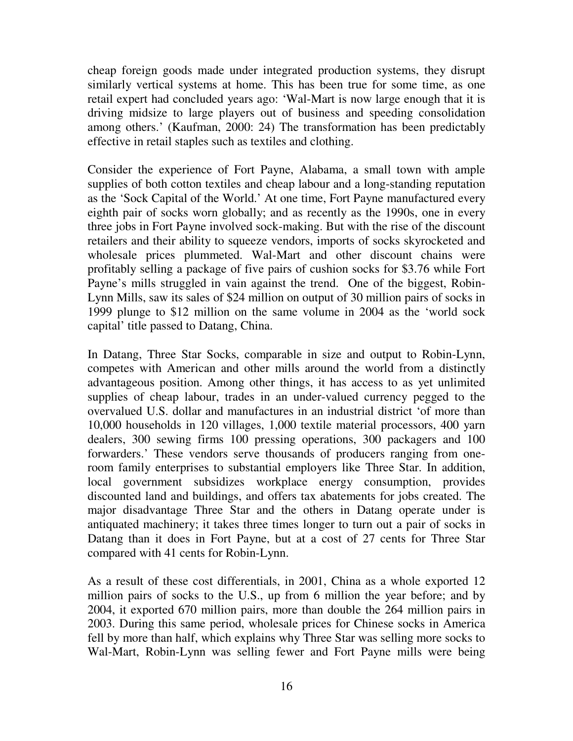cheap foreign goods made under integrated production systems, they disrupt similarly vertical systems at home. This has been true for some time, as one retail expert had concluded years ago: 'Wal-Mart is now large enough that it is driving midsize to large players out of business and speeding consolidation among others.' (Kaufman, 2000: 24) The transformation has been predictably effective in retail staples such as textiles and clothing.

Consider the experience of Fort Payne, Alabama, a small town with ample supplies of both cotton textiles and cheap labour and a long-standing reputation as the 'Sock Capital of the World.' At one time, Fort Payne manufactured every eighth pair of socks worn globally; and as recently as the 1990s, one in every three jobs in Fort Payne involved sock-making. But with the rise of the discount retailers and their ability to squeeze vendors, imports of socks skyrocketed and wholesale prices plummeted. Wal-Mart and other discount chains were profitably selling a package of five pairs of cushion socks for \$3.76 while Fort Payne's mills struggled in vain against the trend. One of the biggest, Robin-Lynn Mills, saw its sales of \$24 million on output of 30 million pairs of socks in 1999 plunge to \$12 million on the same volume in 2004 as the 'world sock capital' title passed to Datang, China.

In Datang, Three Star Socks, comparable in size and output to Robin-Lynn, competes with American and other mills around the world from a distinctly advantageous position. Among other things, it has access to as yet unlimited supplies of cheap labour, trades in an under-valued currency pegged to the overvalued U.S. dollar and manufactures in an industrial district 'of more than 10,000 households in 120 villages, 1,000 textile material processors, 400 yarn dealers, 300 sewing firms 100 pressing operations, 300 packagers and 100 forwarders.' These vendors serve thousands of producers ranging from oneroom family enterprises to substantial employers like Three Star. In addition, local government subsidizes workplace energy consumption, provides discounted land and buildings, and offers tax abatements for jobs created. The major disadvantage Three Star and the others in Datang operate under is antiquated machinery; it takes three times longer to turn out a pair of socks in Datang than it does in Fort Payne, but at a cost of 27 cents for Three Star compared with 41 cents for Robin-Lynn.

As a result of these cost differentials, in 2001, China as a whole exported 12 million pairs of socks to the U.S., up from 6 million the year before; and by 2004, it exported 670 million pairs, more than double the 264 million pairs in 2003. During this same period, wholesale prices for Chinese socks in America fell by more than half, which explains why Three Star was selling more socks to Wal-Mart, Robin-Lynn was selling fewer and Fort Payne mills were being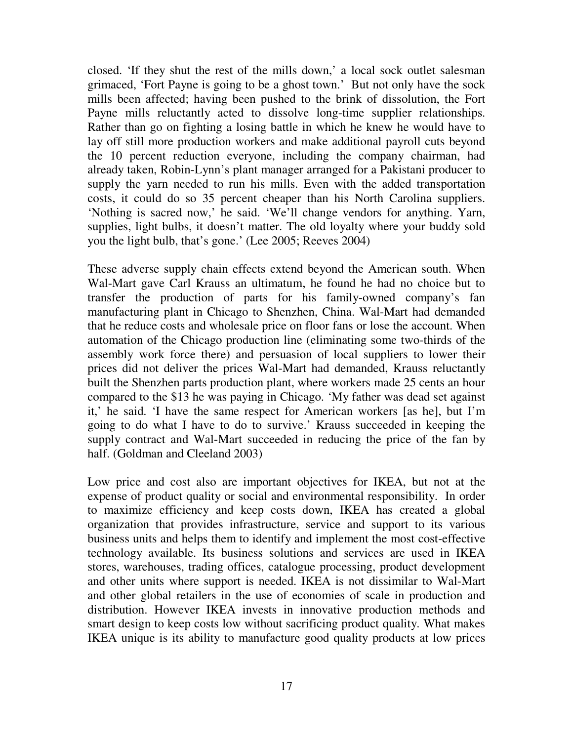closed. 'If they shut the rest of the mills down,' a local sock outlet salesman grimaced, 'Fort Payne is going to be a ghost town.' But not only have the sock mills been affected; having been pushed to the brink of dissolution, the Fort Payne mills reluctantly acted to dissolve long-time supplier relationships. Rather than go on fighting a losing battle in which he knew he would have to lay off still more production workers and make additional payroll cuts beyond the 10 percent reduction everyone, including the company chairman, had already taken, Robin-Lynn's plant manager arranged for a Pakistani producer to supply the yarn needed to run his mills. Even with the added transportation costs, it could do so 35 percent cheaper than his North Carolina suppliers. 'Nothing is sacred now,' he said. 'We'll change vendors for anything. Yarn, supplies, light bulbs, it doesn't matter. The old loyalty where your buddy sold you the light bulb, that's gone.' (Lee 2005; Reeves 2004)

These adverse supply chain effects extend beyond the American south. When Wal-Mart gave Carl Krauss an ultimatum, he found he had no choice but to transfer the production of parts for his family-owned company's fan manufacturing plant in Chicago to Shenzhen, China. Wal-Mart had demanded that he reduce costs and wholesale price on floor fans or lose the account. When automation of the Chicago production line (eliminating some two-thirds of the assembly work force there) and persuasion of local suppliers to lower their prices did not deliver the prices Wal-Mart had demanded, Krauss reluctantly built the Shenzhen parts production plant, where workers made 25 cents an hour compared to the \$13 he was paying in Chicago. 'My father was dead set against it,' he said. 'I have the same respect for American workers [as he], but I'm going to do what I have to do to survive.' Krauss succeeded in keeping the supply contract and Wal-Mart succeeded in reducing the price of the fan by half. (Goldman and Cleeland 2003)

Low price and cost also are important objectives for IKEA, but not at the expense of product quality or social and environmental responsibility. In order to maximize efficiency and keep costs down, IKEA has created a global organization that provides infrastructure, service and support to its various business units and helps them to identify and implement the most cost-effective technology available. Its business solutions and services are used in IKEA stores, warehouses, trading offices, catalogue processing, product development and other units where support is needed. IKEA is not dissimilar to Wal-Mart and other global retailers in the use of economies of scale in production and distribution. However IKEA invests in innovative production methods and smart design to keep costs low without sacrificing product quality. What makes IKEA unique is its ability to manufacture good quality products at low prices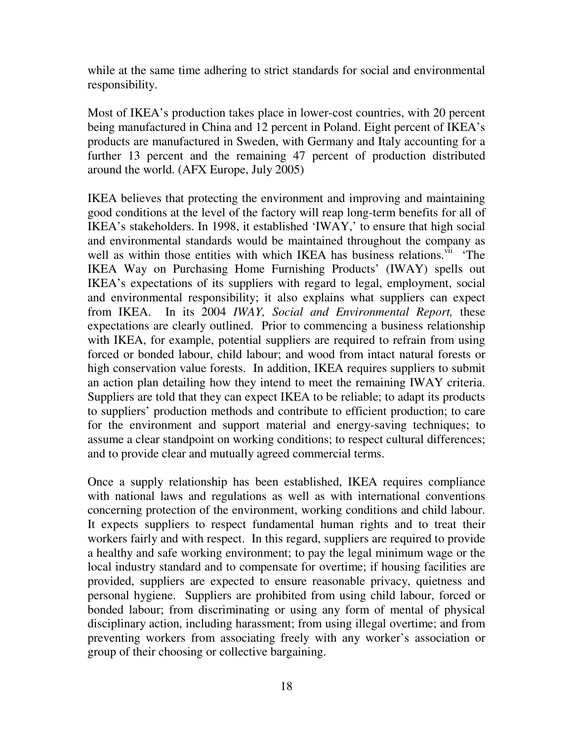while at the same time adhering to strict standards for social and environmental responsibility.

Most of IKEA's production takes place in lower-cost countries, with 20 percent being manufactured in China and 12 percent in Poland. Eight percent of IKEA's products are manufactured in Sweden, with Germany and Italy accounting for a further 13 percent and the remaining 47 percent of production distributed around the world. (AFX Europe, July 2005)

IKEA believes that protecting the environment and improving and maintaining good conditions at the level of the factory will reap long-term benefits for all of IKEA's stakeholders. In 1998, it established 'IWAY,' to ensure that high social and environmental standards would be maintained throughout the company as well as within those entities with which IKEA has business relations.<sup>vii</sup> The IKEA Way on Purchasing Home Furnishing Products' (IWAY) spells out IKEA's expectations of its suppliers with regard to legal, employment, social and environmental responsibility; it also explains what suppliers can expect from IKEA. In its 2004 *IWAY, Social and Environmental Report,* these expectations are clearly outlined. Prior to commencing a business relationship with IKEA, for example, potential suppliers are required to refrain from using forced or bonded labour, child labour; and wood from intact natural forests or high conservation value forests. In addition, IKEA requires suppliers to submit an action plan detailing how they intend to meet the remaining IWAY criteria. Suppliers are told that they can expect IKEA to be reliable; to adapt its products to suppliers' production methods and contribute to efficient production; to care for the environment and support material and energy-saving techniques; to assume a clear standpoint on working conditions; to respect cultural differences; and to provide clear and mutually agreed commercial terms.

Once a supply relationship has been established, IKEA requires compliance with national laws and regulations as well as with international conventions concerning protection of the environment, working conditions and child labour. It expects suppliers to respect fundamental human rights and to treat their workers fairly and with respect. In this regard, suppliers are required to provide a healthy and safe working environment; to pay the legal minimum wage or the local industry standard and to compensate for overtime; if housing facilities are provided, suppliers are expected to ensure reasonable privacy, quietness and personal hygiene. Suppliers are prohibited from using child labour, forced or bonded labour; from discriminating or using any form of mental of physical disciplinary action, including harassment; from using illegal overtime; and from preventing workers from associating freely with any worker's association or group of their choosing or collective bargaining.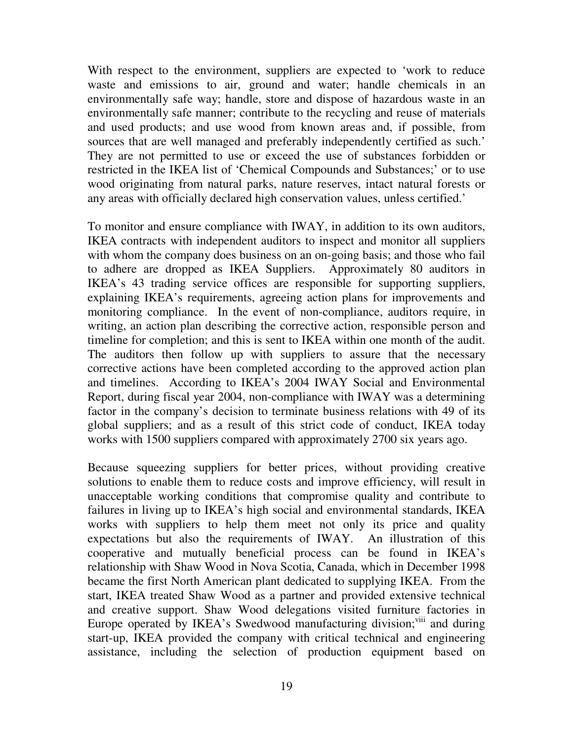With respect to the environment, suppliers are expected to 'work to reduce waste and emissions to air, ground and water; handle chemicals in an environmentally safe way; handle, store and dispose of hazardous waste in an environmentally safe manner; contribute to the recycling and reuse of materials and used products; and use wood from known areas and, if possible, from sources that are well managed and preferably independently certified as such.' They are not permitted to use or exceed the use of substances forbidden or restricted in the IKEA list of 'Chemical Compounds and Substances;' or to use wood originating from natural parks, nature reserves, intact natural forests or any areas with officially declared high conservation values, unless certified.'

To monitor and ensure compliance with IWAY, in addition to its own auditors, IKEA contracts with independent auditors to inspect and monitor all suppliers with whom the company does business on an on-going basis; and those who fail to adhere are dropped as IKEA Suppliers. Approximately 80 auditors in IKEA's 43 trading service offices are responsible for supporting suppliers, explaining IKEA's requirements, agreeing action plans for improvements and monitoring compliance. In the event of non-compliance, auditors require, in writing, an action plan describing the corrective action, responsible person and timeline for completion; and this is sent to IKEA within one month of the audit. The auditors then follow up with suppliers to assure that the necessary corrective actions have been completed according to the approved action plan and timelines. According to IKEA's 2004 IWAY Social and Environmental Report, during fiscal year 2004, non-compliance with IWAY was a determining factor in the company's decision to terminate business relations with 49 of its global suppliers; and as a result of this strict code of conduct, IKEA today works with 1500 suppliers compared with approximately 2700 six years ago.

Because squeezing suppliers for better prices, without providing creative solutions to enable them to reduce costs and improve efficiency, will result in unacceptable working conditions that compromise quality and contribute to failures in living up to IKEA's high social and environmental standards, IKEA works with suppliers to help them meet not only its price and quality expectations but also the requirements of IWAY. An illustration of this cooperative and mutually beneficial process can be found in IKEA's relationship with Shaw Wood in Nova Scotia, Canada, which in December 1998 became the first North American plant dedicated to supplying IKEA. From the start, IKEA treated Shaw Wood as a partner and provided extensive technical and creative support. Shaw Wood delegations visited furniture factories in Europe operated by IKEA's Swedwood manufacturing division;<sup>viii</sup> and during start-up, IKEA provided the company with critical technical and engineering assistance, including the selection of production equipment based on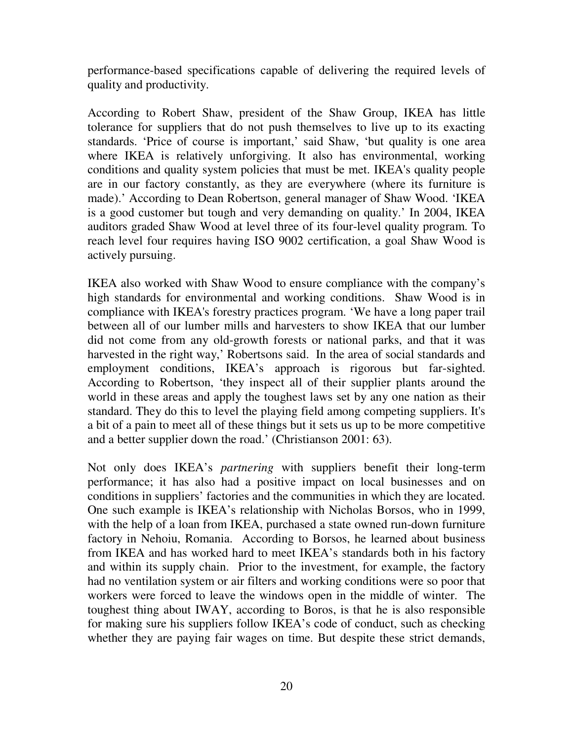performance-based specifications capable of delivering the required levels of quality and productivity.

According to Robert Shaw, president of the Shaw Group, IKEA has little tolerance for suppliers that do not push themselves to live up to its exacting standards. 'Price of course is important,' said Shaw, 'but quality is one area where IKEA is relatively unforgiving. It also has environmental, working conditions and quality system policies that must be met. IKEA's quality people are in our factory constantly, as they are everywhere (where its furniture is made).' According to Dean Robertson, general manager of Shaw Wood. 'IKEA is a good customer but tough and very demanding on quality.' In 2004, IKEA auditors graded Shaw Wood at level three of its four-level quality program. To reach level four requires having ISO 9002 certification, a goal Shaw Wood is actively pursuing.

IKEA also worked with Shaw Wood to ensure compliance with the company's high standards for environmental and working conditions. Shaw Wood is in compliance with IKEA's forestry practices program. 'We have a long paper trail between all of our lumber mills and harvesters to show IKEA that our lumber did not come from any old-growth forests or national parks, and that it was harvested in the right way,' Robertsons said. In the area of social standards and employment conditions, IKEA's approach is rigorous but far-sighted. According to Robertson, 'they inspect all of their supplier plants around the world in these areas and apply the toughest laws set by any one nation as their standard. They do this to level the playing field among competing suppliers. It's a bit of a pain to meet all of these things but it sets us up to be more competitive and a better supplier down the road.' (Christianson 2001: 63).

Not only does IKEA's *partnering* with suppliers benefit their long-term performance; it has also had a positive impact on local businesses and on conditions in suppliers' factories and the communities in which they are located. One such example is IKEA's relationship with Nicholas Borsos, who in 1999, with the help of a loan from IKEA, purchased a state owned run-down furniture factory in Nehoiu, Romania. According to Borsos, he learned about business from IKEA and has worked hard to meet IKEA's standards both in his factory and within its supply chain. Prior to the investment, for example, the factory had no ventilation system or air filters and working conditions were so poor that workers were forced to leave the windows open in the middle of winter. The toughest thing about IWAY, according to Boros, is that he is also responsible for making sure his suppliers follow IKEA's code of conduct, such as checking whether they are paying fair wages on time. But despite these strict demands,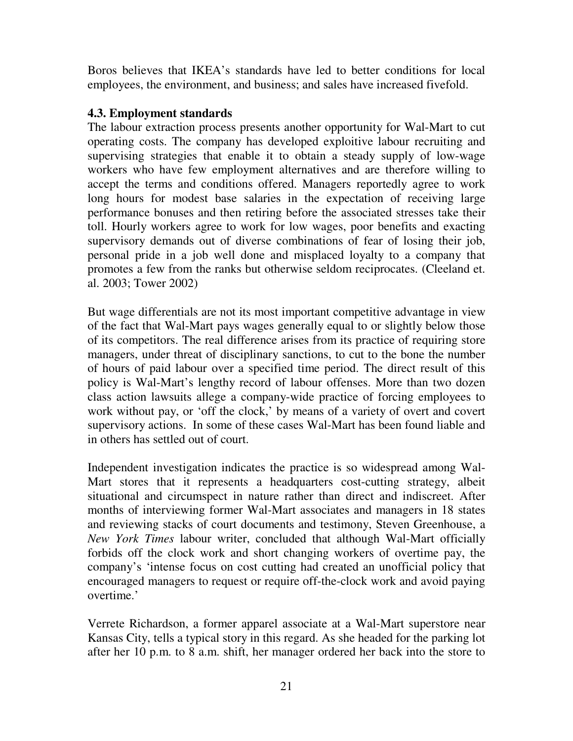Boros believes that IKEA's standards have led to better conditions for local employees, the environment, and business; and sales have increased fivefold.

# **4.3. Employment standards**

The labour extraction process presents another opportunity for Wal-Mart to cut operating costs. The company has developed exploitive labour recruiting and supervising strategies that enable it to obtain a steady supply of low-wage workers who have few employment alternatives and are therefore willing to accept the terms and conditions offered. Managers reportedly agree to work long hours for modest base salaries in the expectation of receiving large performance bonuses and then retiring before the associated stresses take their toll. Hourly workers agree to work for low wages, poor benefits and exacting supervisory demands out of diverse combinations of fear of losing their job, personal pride in a job well done and misplaced loyalty to a company that promotes a few from the ranks but otherwise seldom reciprocates. (Cleeland et. al. 2003; Tower 2002)

But wage differentials are not its most important competitive advantage in view of the fact that Wal-Mart pays wages generally equal to or slightly below those of its competitors. The real difference arises from its practice of requiring store managers, under threat of disciplinary sanctions, to cut to the bone the number of hours of paid labour over a specified time period. The direct result of this policy is Wal-Mart's lengthy record of labour offenses. More than two dozen class action lawsuits allege a company-wide practice of forcing employees to work without pay, or 'off the clock,' by means of a variety of overt and covert supervisory actions. In some of these cases Wal-Mart has been found liable and in others has settled out of court.

Independent investigation indicates the practice is so widespread among Wal-Mart stores that it represents a headquarters cost-cutting strategy, albeit situational and circumspect in nature rather than direct and indiscreet. After months of interviewing former Wal-Mart associates and managers in 18 states and reviewing stacks of court documents and testimony, Steven Greenhouse, a *New York Times* labour writer, concluded that although Wal-Mart officially forbids off the clock work and short changing workers of overtime pay, the company's 'intense focus on cost cutting had created an unofficial policy that encouraged managers to request or require off-the-clock work and avoid paying overtime.'

Verrete Richardson, a former apparel associate at a Wal-Mart superstore near Kansas City, tells a typical story in this regard. As she headed for the parking lot after her 10 p.m. to 8 a.m. shift, her manager ordered her back into the store to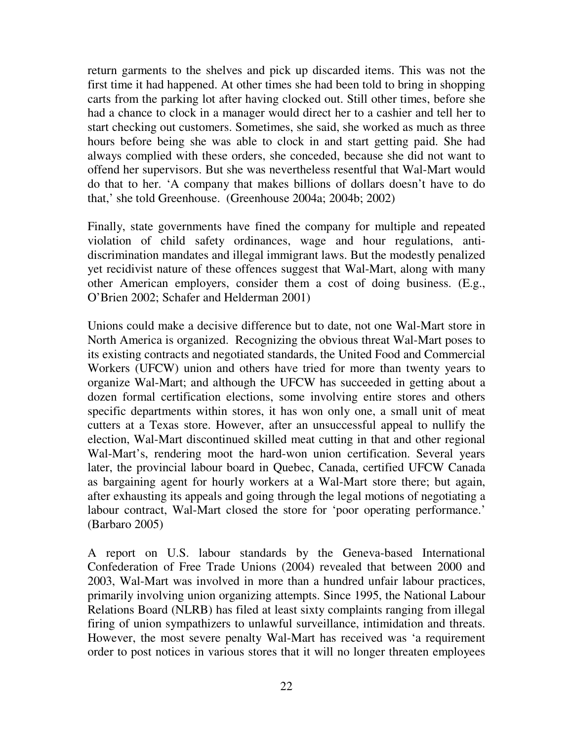return garments to the shelves and pick up discarded items. This was not the first time it had happened. At other times she had been told to bring in shopping carts from the parking lot after having clocked out. Still other times, before she had a chance to clock in a manager would direct her to a cashier and tell her to start checking out customers. Sometimes, she said, she worked as much as three hours before being she was able to clock in and start getting paid. She had always complied with these orders, she conceded, because she did not want to offend her supervisors. But she was nevertheless resentful that Wal-Mart would do that to her. 'A company that makes billions of dollars doesn't have to do that,' she told Greenhouse. (Greenhouse 2004a; 2004b; 2002)

Finally, state governments have fined the company for multiple and repeated violation of child safety ordinances, wage and hour regulations, antidiscrimination mandates and illegal immigrant laws. But the modestly penalized yet recidivist nature of these offences suggest that Wal-Mart, along with many other American employers, consider them a cost of doing business. (E.g., O'Brien 2002; Schafer and Helderman 2001)

Unions could make a decisive difference but to date, not one Wal-Mart store in North America is organized. Recognizing the obvious threat Wal-Mart poses to its existing contracts and negotiated standards, the United Food and Commercial Workers (UFCW) union and others have tried for more than twenty years to organize Wal-Mart; and although the UFCW has succeeded in getting about a dozen formal certification elections, some involving entire stores and others specific departments within stores, it has won only one, a small unit of meat cutters at a Texas store. However, after an unsuccessful appeal to nullify the election, Wal-Mart discontinued skilled meat cutting in that and other regional Wal-Mart's, rendering moot the hard-won union certification. Several years later, the provincial labour board in Quebec, Canada, certified UFCW Canada as bargaining agent for hourly workers at a Wal-Mart store there; but again, after exhausting its appeals and going through the legal motions of negotiating a labour contract, Wal-Mart closed the store for 'poor operating performance.' (Barbaro 2005)

A report on U.S. labour standards by the Geneva-based International Confederation of Free Trade Unions (2004) revealed that between 2000 and 2003, Wal-Mart was involved in more than a hundred unfair labour practices, primarily involving union organizing attempts. Since 1995, the National Labour Relations Board (NLRB) has filed at least sixty complaints ranging from illegal firing of union sympathizers to unlawful surveillance, intimidation and threats. However, the most severe penalty Wal-Mart has received was 'a requirement order to post notices in various stores that it will no longer threaten employees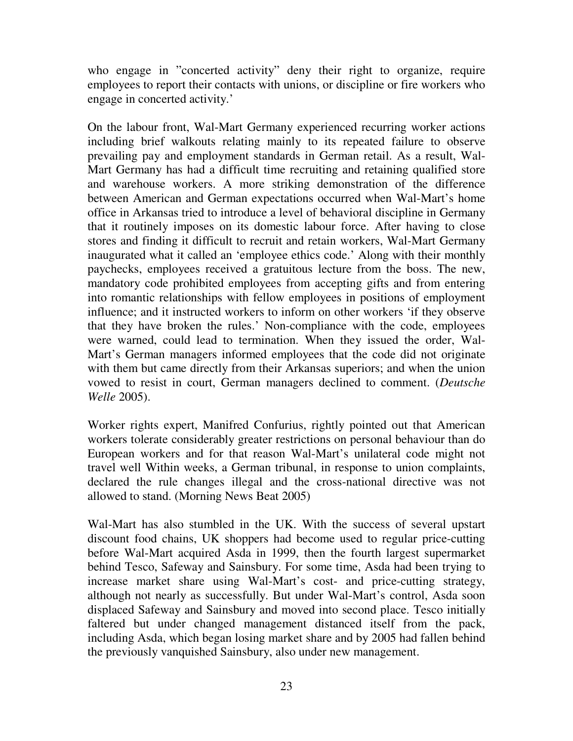who engage in "concerted activity" deny their right to organize, require employees to report their contacts with unions, or discipline or fire workers who engage in concerted activity.'

On the labour front, Wal-Mart Germany experienced recurring worker actions including brief walkouts relating mainly to its repeated failure to observe prevailing pay and employment standards in German retail. As a result, Wal-Mart Germany has had a difficult time recruiting and retaining qualified store and warehouse workers. A more striking demonstration of the difference between American and German expectations occurred when Wal-Mart's home office in Arkansas tried to introduce a level of behavioral discipline in Germany that it routinely imposes on its domestic labour force. After having to close stores and finding it difficult to recruit and retain workers, Wal-Mart Germany inaugurated what it called an 'employee ethics code.' Along with their monthly paychecks, employees received a gratuitous lecture from the boss. The new, mandatory code prohibited employees from accepting gifts and from entering into romantic relationships with fellow employees in positions of employment influence; and it instructed workers to inform on other workers 'if they observe that they have broken the rules.' Non-compliance with the code, employees were warned, could lead to termination. When they issued the order, Wal-Mart's German managers informed employees that the code did not originate with them but came directly from their Arkansas superiors; and when the union vowed to resist in court, German managers declined to comment. (*Deutsche Welle* 2005).

Worker rights expert, Manifred Confurius, rightly pointed out that American workers tolerate considerably greater restrictions on personal behaviour than do European workers and for that reason Wal-Mart's unilateral code might not travel well Within weeks, a German tribunal, in response to union complaints, declared the rule changes illegal and the cross-national directive was not allowed to stand. (Morning News Beat 2005)

Wal-Mart has also stumbled in the UK. With the success of several upstart discount food chains, UK shoppers had become used to regular price-cutting before Wal-Mart acquired Asda in 1999, then the fourth largest supermarket behind Tesco, Safeway and Sainsbury. For some time, Asda had been trying to increase market share using Wal-Mart's cost- and price-cutting strategy, although not nearly as successfully. But under Wal-Mart's control, Asda soon displaced Safeway and Sainsbury and moved into second place. Tesco initially faltered but under changed management distanced itself from the pack, including Asda, which began losing market share and by 2005 had fallen behind the previously vanquished Sainsbury, also under new management.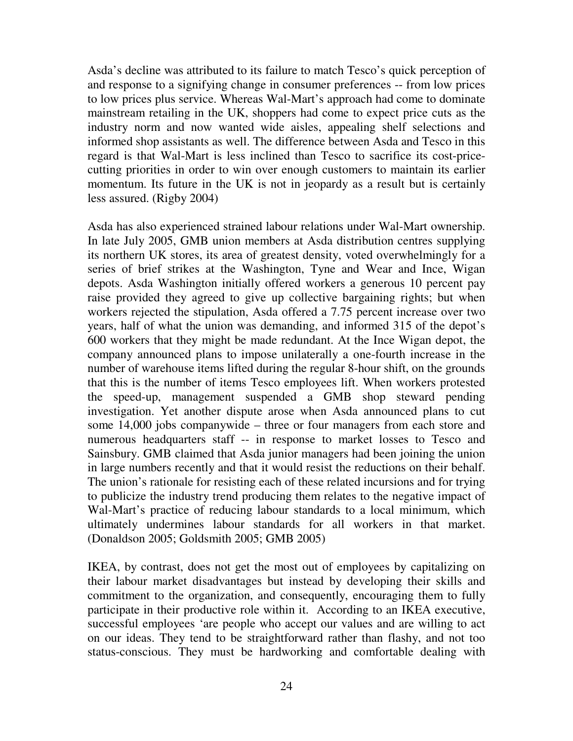Asda's decline was attributed to its failure to match Tesco's quick perception of and response to a signifying change in consumer preferences -- from low prices to low prices plus service. Whereas Wal-Mart's approach had come to dominate mainstream retailing in the UK, shoppers had come to expect price cuts as the industry norm and now wanted wide aisles, appealing shelf selections and informed shop assistants as well. The difference between Asda and Tesco in this regard is that Wal-Mart is less inclined than Tesco to sacrifice its cost-pricecutting priorities in order to win over enough customers to maintain its earlier momentum. Its future in the UK is not in jeopardy as a result but is certainly less assured. (Rigby 2004)

Asda has also experienced strained labour relations under Wal-Mart ownership. In late July 2005, GMB union members at Asda distribution centres supplying its northern UK stores, its area of greatest density, voted overwhelmingly for a series of brief strikes at the Washington, Tyne and Wear and Ince, Wigan depots. Asda Washington initially offered workers a generous 10 percent pay raise provided they agreed to give up collective bargaining rights; but when workers rejected the stipulation, Asda offered a 7.75 percent increase over two years, half of what the union was demanding, and informed 315 of the depot's 600 workers that they might be made redundant. At the Ince Wigan depot, the company announced plans to impose unilaterally a one-fourth increase in the number of warehouse items lifted during the regular 8-hour shift, on the grounds that this is the number of items Tesco employees lift. When workers protested the speed-up, management suspended a GMB shop steward pending investigation. Yet another dispute arose when Asda announced plans to cut some 14,000 jobs companywide – three or four managers from each store and numerous headquarters staff -- in response to market losses to Tesco and Sainsbury. GMB claimed that Asda junior managers had been joining the union in large numbers recently and that it would resist the reductions on their behalf. The union's rationale for resisting each of these related incursions and for trying to publicize the industry trend producing them relates to the negative impact of Wal-Mart's practice of reducing labour standards to a local minimum, which ultimately undermines labour standards for all workers in that market. (Donaldson 2005; Goldsmith 2005; GMB 2005)

IKEA, by contrast, does not get the most out of employees by capitalizing on their labour market disadvantages but instead by developing their skills and commitment to the organization, and consequently, encouraging them to fully participate in their productive role within it. According to an IKEA executive, successful employees 'are people who accept our values and are willing to act on our ideas. They tend to be straightforward rather than flashy, and not too status-conscious. They must be hardworking and comfortable dealing with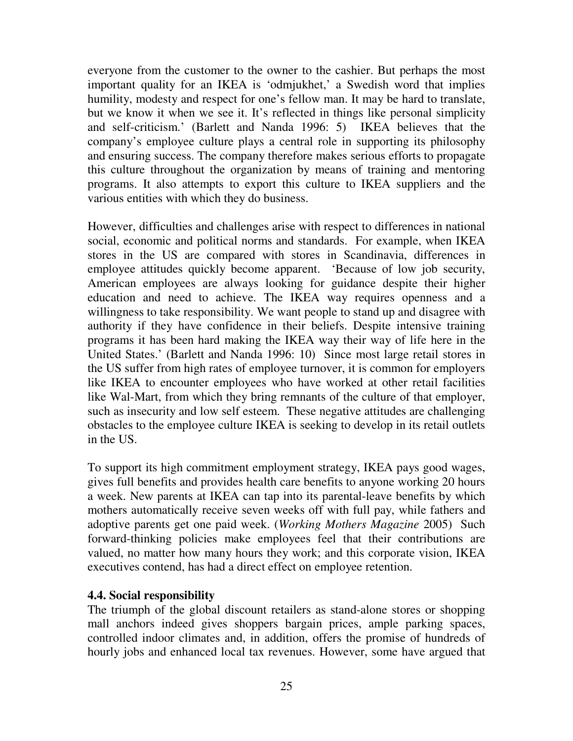everyone from the customer to the owner to the cashier. But perhaps the most important quality for an IKEA is 'odmjukhet,' a Swedish word that implies humility, modesty and respect for one's fellow man. It may be hard to translate, but we know it when we see it. It's reflected in things like personal simplicity and self-criticism.' (Barlett and Nanda 1996: 5) IKEA believes that the company's employee culture plays a central role in supporting its philosophy and ensuring success. The company therefore makes serious efforts to propagate this culture throughout the organization by means of training and mentoring programs. It also attempts to export this culture to IKEA suppliers and the various entities with which they do business.

However, difficulties and challenges arise with respect to differences in national social, economic and political norms and standards. For example, when IKEA stores in the US are compared with stores in Scandinavia, differences in employee attitudes quickly become apparent. 'Because of low job security, American employees are always looking for guidance despite their higher education and need to achieve. The IKEA way requires openness and a willingness to take responsibility. We want people to stand up and disagree with authority if they have confidence in their beliefs. Despite intensive training programs it has been hard making the IKEA way their way of life here in the United States.' (Barlett and Nanda 1996: 10) Since most large retail stores in the US suffer from high rates of employee turnover, it is common for employers like IKEA to encounter employees who have worked at other retail facilities like Wal-Mart, from which they bring remnants of the culture of that employer, such as insecurity and low self esteem. These negative attitudes are challenging obstacles to the employee culture IKEA is seeking to develop in its retail outlets in the US.

To support its high commitment employment strategy, IKEA pays good wages, gives full benefits and provides health care benefits to anyone working 20 hours a week. New parents at IKEA can tap into its parental-leave benefits by which mothers automatically receive seven weeks off with full pay, while fathers and adoptive parents get one paid week. (*Working Mothers Magazine* 2005) Such forward-thinking policies make employees feel that their contributions are valued, no matter how many hours they work; and this corporate vision, IKEA executives contend, has had a direct effect on employee retention.

#### **4.4. Social responsibility**

The triumph of the global discount retailers as stand-alone stores or shopping mall anchors indeed gives shoppers bargain prices, ample parking spaces, controlled indoor climates and, in addition, offers the promise of hundreds of hourly jobs and enhanced local tax revenues. However, some have argued that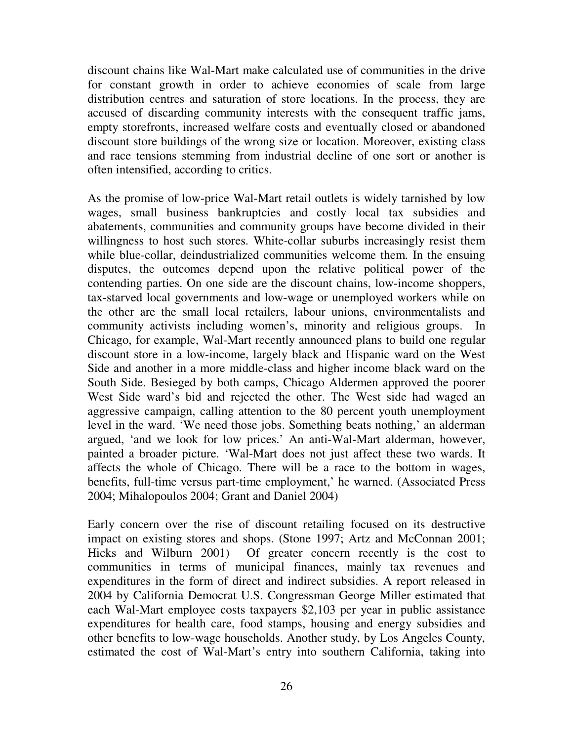discount chains like Wal-Mart make calculated use of communities in the drive for constant growth in order to achieve economies of scale from large distribution centres and saturation of store locations. In the process, they are accused of discarding community interests with the consequent traffic jams, empty storefronts, increased welfare costs and eventually closed or abandoned discount store buildings of the wrong size or location. Moreover, existing class and race tensions stemming from industrial decline of one sort or another is often intensified, according to critics.

As the promise of low-price Wal-Mart retail outlets is widely tarnished by low wages, small business bankruptcies and costly local tax subsidies and abatements, communities and community groups have become divided in their willingness to host such stores. White-collar suburbs increasingly resist them while blue-collar, deindustrialized communities welcome them. In the ensuing disputes, the outcomes depend upon the relative political power of the contending parties. On one side are the discount chains, low-income shoppers, tax-starved local governments and low-wage or unemployed workers while on the other are the small local retailers, labour unions, environmentalists and community activists including women's, minority and religious groups. In Chicago, for example, Wal-Mart recently announced plans to build one regular discount store in a low-income, largely black and Hispanic ward on the West Side and another in a more middle-class and higher income black ward on the South Side. Besieged by both camps, Chicago Aldermen approved the poorer West Side ward's bid and rejected the other. The West side had waged an aggressive campaign, calling attention to the 80 percent youth unemployment level in the ward. 'We need those jobs. Something beats nothing,' an alderman argued, 'and we look for low prices.' An anti-Wal-Mart alderman, however, painted a broader picture. 'Wal-Mart does not just affect these two wards. It affects the whole of Chicago. There will be a race to the bottom in wages, benefits, full-time versus part-time employment,' he warned. (Associated Press 2004; Mihalopoulos 2004; Grant and Daniel 2004)

Early concern over the rise of discount retailing focused on its destructive impact on existing stores and shops. (Stone 1997; Artz and McConnan 2001; Hicks and Wilburn 2001) Of greater concern recently is the cost to communities in terms of municipal finances, mainly tax revenues and expenditures in the form of direct and indirect subsidies. A report released in 2004 by California Democrat U.S. Congressman George Miller estimated that each Wal-Mart employee costs taxpayers \$2,103 per year in public assistance expenditures for health care, food stamps, housing and energy subsidies and other benefits to low-wage households. Another study, by Los Angeles County, estimated the cost of Wal-Mart's entry into southern California, taking into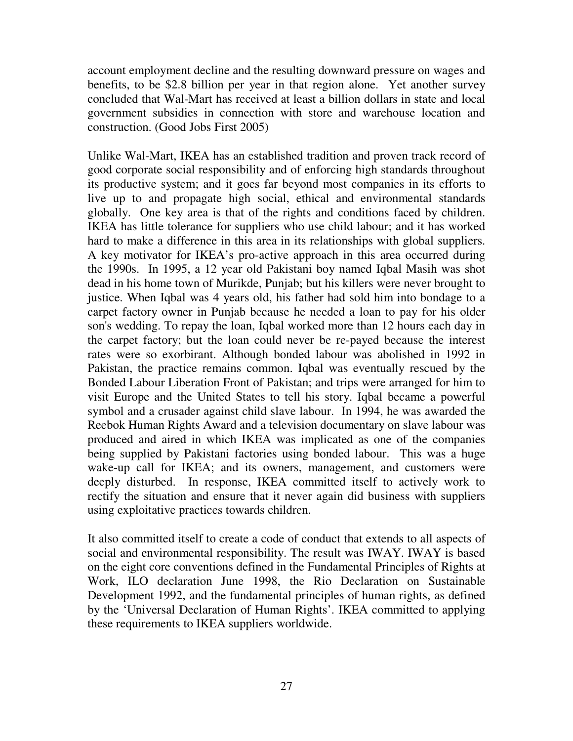account employment decline and the resulting downward pressure on wages and benefits, to be \$2.8 billion per year in that region alone. Yet another survey concluded that Wal-Mart has received at least a billion dollars in state and local government subsidies in connection with store and warehouse location and construction. (Good Jobs First 2005)

Unlike Wal-Mart, IKEA has an established tradition and proven track record of good corporate social responsibility and of enforcing high standards throughout its productive system; and it goes far beyond most companies in its efforts to live up to and propagate high social, ethical and environmental standards globally. One key area is that of the rights and conditions faced by children. IKEA has little tolerance for suppliers who use child labour; and it has worked hard to make a difference in this area in its relationships with global suppliers. A key motivator for IKEA's pro-active approach in this area occurred during the 1990s. In 1995, a 12 year old Pakistani boy named Iqbal Masih was shot dead in his home town of Murikde, Punjab; but his killers were never brought to justice. When Iqbal was 4 years old, his father had sold him into bondage to a carpet factory owner in Punjab because he needed a loan to pay for his older son's wedding. To repay the loan, Iqbal worked more than 12 hours each day in the carpet factory; but the loan could never be re-payed because the interest rates were so exorbirant. Although bonded labour was abolished in 1992 in Pakistan, the practice remains common. Iqbal was eventually rescued by the Bonded Labour Liberation Front of Pakistan; and trips were arranged for him to visit Europe and the United States to tell his story. Iqbal became a powerful symbol and a crusader against child slave labour. In 1994, he was awarded the Reebok Human Rights Award and a television documentary on slave labour was produced and aired in which IKEA was implicated as one of the companies being supplied by Pakistani factories using bonded labour. This was a huge wake-up call for IKEA; and its owners, management, and customers were deeply disturbed. In response, IKEA committed itself to actively work to rectify the situation and ensure that it never again did business with suppliers using exploitative practices towards children.

It also committed itself to create a code of conduct that extends to all aspects of social and environmental responsibility. The result was IWAY. IWAY is based on the eight core conventions defined in the Fundamental Principles of Rights at Work, ILO declaration June 1998, the Rio Declaration on Sustainable Development 1992, and the fundamental principles of human rights, as defined by the 'Universal Declaration of Human Rights'. IKEA committed to applying these requirements to IKEA suppliers worldwide.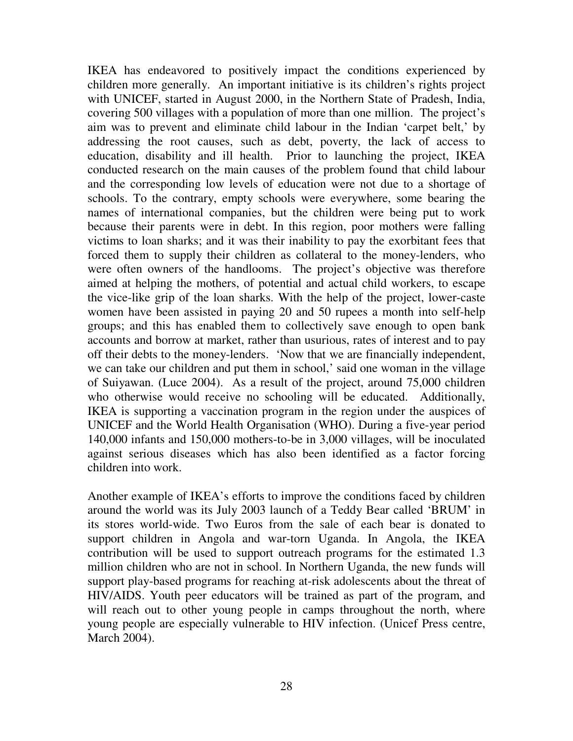IKEA has endeavored to positively impact the conditions experienced by children more generally. An important initiative is its children's rights project with UNICEF, started in August 2000, in the Northern State of Pradesh, India, covering 500 villages with a population of more than one million. The project's aim was to prevent and eliminate child labour in the Indian 'carpet belt,' by addressing the root causes, such as debt, poverty, the lack of access to education, disability and ill health. Prior to launching the project, IKEA conducted research on the main causes of the problem found that child labour and the corresponding low levels of education were not due to a shortage of schools. To the contrary, empty schools were everywhere, some bearing the names of international companies, but the children were being put to work because their parents were in debt. In this region, poor mothers were falling victims to loan sharks; and it was their inability to pay the exorbitant fees that forced them to supply their children as collateral to the money-lenders, who were often owners of the handlooms. The project's objective was therefore aimed at helping the mothers, of potential and actual child workers, to escape the vice-like grip of the loan sharks. With the help of the project, lower-caste women have been assisted in paying 20 and 50 rupees a month into self-help groups; and this has enabled them to collectively save enough to open bank accounts and borrow at market, rather than usurious, rates of interest and to pay off their debts to the money-lenders. 'Now that we are financially independent, we can take our children and put them in school,' said one woman in the village of Suiyawan. (Luce 2004). As a result of the project, around 75,000 children who otherwise would receive no schooling will be educated. Additionally, IKEA is supporting a vaccination program in the region under the auspices of UNICEF and the World Health Organisation (WHO). During a five-year period 140,000 infants and 150,000 mothers-to-be in 3,000 villages, will be inoculated against serious diseases which has also been identified as a factor forcing children into work.

Another example of IKEA's efforts to improve the conditions faced by children around the world was its July 2003 launch of a Teddy Bear called 'BRUM' in its stores world-wide. Two Euros from the sale of each bear is donated to support children in Angola and war-torn Uganda. In Angola, the IKEA contribution will be used to support outreach programs for the estimated 1.3 million children who are not in school. In Northern Uganda, the new funds will support play-based programs for reaching at-risk adolescents about the threat of HIV/AIDS. Youth peer educators will be trained as part of the program, and will reach out to other young people in camps throughout the north, where young people are especially vulnerable to HIV infection. (Unicef Press centre, March 2004).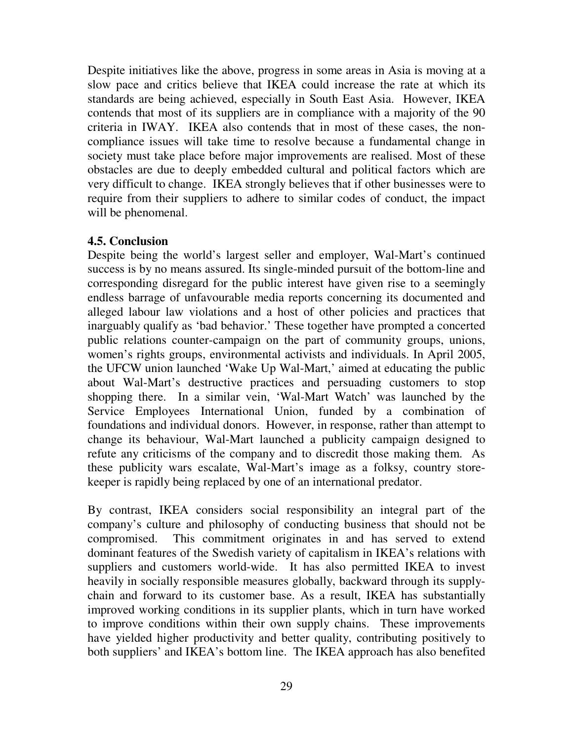Despite initiatives like the above, progress in some areas in Asia is moving at a slow pace and critics believe that IKEA could increase the rate at which its standards are being achieved, especially in South East Asia. However, IKEA contends that most of its suppliers are in compliance with a majority of the 90 criteria in IWAY. IKEA also contends that in most of these cases, the noncompliance issues will take time to resolve because a fundamental change in society must take place before major improvements are realised. Most of these obstacles are due to deeply embedded cultural and political factors which are very difficult to change. IKEA strongly believes that if other businesses were to require from their suppliers to adhere to similar codes of conduct, the impact will be phenomenal.

#### **4.5. Conclusion**

Despite being the world's largest seller and employer, Wal-Mart's continued success is by no means assured. Its single-minded pursuit of the bottom-line and corresponding disregard for the public interest have given rise to a seemingly endless barrage of unfavourable media reports concerning its documented and alleged labour law violations and a host of other policies and practices that inarguably qualify as 'bad behavior.' These together have prompted a concerted public relations counter-campaign on the part of community groups, unions, women's rights groups, environmental activists and individuals. In April 2005, the UFCW union launched 'Wake Up Wal-Mart,' aimed at educating the public about Wal-Mart's destructive practices and persuading customers to stop shopping there. In a similar vein, 'Wal-Mart Watch' was launched by the Service Employees International Union, funded by a combination of foundations and individual donors. However, in response, rather than attempt to change its behaviour, Wal-Mart launched a publicity campaign designed to refute any criticisms of the company and to discredit those making them. As these publicity wars escalate, Wal-Mart's image as a folksy, country storekeeper is rapidly being replaced by one of an international predator.

By contrast, IKEA considers social responsibility an integral part of the company's culture and philosophy of conducting business that should not be compromised. This commitment originates in and has served to extend dominant features of the Swedish variety of capitalism in IKEA's relations with suppliers and customers world-wide. It has also permitted IKEA to invest heavily in socially responsible measures globally, backward through its supplychain and forward to its customer base. As a result, IKEA has substantially improved working conditions in its supplier plants, which in turn have worked to improve conditions within their own supply chains. These improvements have yielded higher productivity and better quality, contributing positively to both suppliers' and IKEA's bottom line. The IKEA approach has also benefited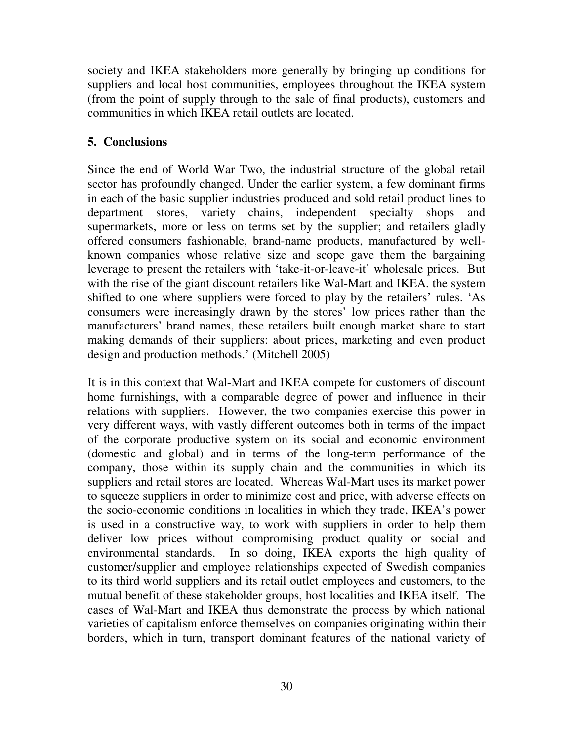society and IKEA stakeholders more generally by bringing up conditions for suppliers and local host communities, employees throughout the IKEA system (from the point of supply through to the sale of final products), customers and communities in which IKEA retail outlets are located.

# **5. Conclusions**

Since the end of World War Two, the industrial structure of the global retail sector has profoundly changed. Under the earlier system, a few dominant firms in each of the basic supplier industries produced and sold retail product lines to department stores, variety chains, independent specialty shops and supermarkets, more or less on terms set by the supplier; and retailers gladly offered consumers fashionable, brand-name products, manufactured by wellknown companies whose relative size and scope gave them the bargaining leverage to present the retailers with 'take-it-or-leave-it' wholesale prices. But with the rise of the giant discount retailers like Wal-Mart and IKEA, the system shifted to one where suppliers were forced to play by the retailers' rules. 'As consumers were increasingly drawn by the stores' low prices rather than the manufacturers' brand names, these retailers built enough market share to start making demands of their suppliers: about prices, marketing and even product design and production methods.' (Mitchell 2005)

It is in this context that Wal-Mart and IKEA compete for customers of discount home furnishings, with a comparable degree of power and influence in their relations with suppliers. However, the two companies exercise this power in very different ways, with vastly different outcomes both in terms of the impact of the corporate productive system on its social and economic environment (domestic and global) and in terms of the long-term performance of the company, those within its supply chain and the communities in which its suppliers and retail stores are located. Whereas Wal-Mart uses its market power to squeeze suppliers in order to minimize cost and price, with adverse effects on the socio-economic conditions in localities in which they trade, IKEA's power is used in a constructive way, to work with suppliers in order to help them deliver low prices without compromising product quality or social and environmental standards. In so doing, IKEA exports the high quality of customer/supplier and employee relationships expected of Swedish companies to its third world suppliers and its retail outlet employees and customers, to the mutual benefit of these stakeholder groups, host localities and IKEA itself. The cases of Wal-Mart and IKEA thus demonstrate the process by which national varieties of capitalism enforce themselves on companies originating within their borders, which in turn, transport dominant features of the national variety of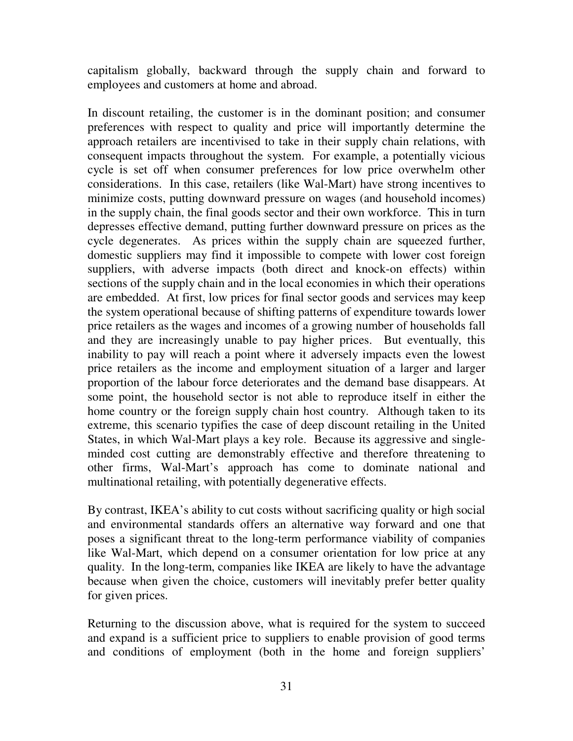capitalism globally, backward through the supply chain and forward to employees and customers at home and abroad.

In discount retailing, the customer is in the dominant position; and consumer preferences with respect to quality and price will importantly determine the approach retailers are incentivised to take in their supply chain relations, with consequent impacts throughout the system. For example, a potentially vicious cycle is set off when consumer preferences for low price overwhelm other considerations. In this case, retailers (like Wal-Mart) have strong incentives to minimize costs, putting downward pressure on wages (and household incomes) in the supply chain, the final goods sector and their own workforce. This in turn depresses effective demand, putting further downward pressure on prices as the cycle degenerates. As prices within the supply chain are squeezed further, domestic suppliers may find it impossible to compete with lower cost foreign suppliers, with adverse impacts (both direct and knock-on effects) within sections of the supply chain and in the local economies in which their operations are embedded. At first, low prices for final sector goods and services may keep the system operational because of shifting patterns of expenditure towards lower price retailers as the wages and incomes of a growing number of households fall and they are increasingly unable to pay higher prices. But eventually, this inability to pay will reach a point where it adversely impacts even the lowest price retailers as the income and employment situation of a larger and larger proportion of the labour force deteriorates and the demand base disappears. At some point, the household sector is not able to reproduce itself in either the home country or the foreign supply chain host country. Although taken to its extreme, this scenario typifies the case of deep discount retailing in the United States, in which Wal-Mart plays a key role. Because its aggressive and singleminded cost cutting are demonstrably effective and therefore threatening to other firms, Wal-Mart's approach has come to dominate national and multinational retailing, with potentially degenerative effects.

By contrast, IKEA's ability to cut costs without sacrificing quality or high social and environmental standards offers an alternative way forward and one that poses a significant threat to the long-term performance viability of companies like Wal-Mart, which depend on a consumer orientation for low price at any quality. In the long-term, companies like IKEA are likely to have the advantage because when given the choice, customers will inevitably prefer better quality for given prices.

Returning to the discussion above, what is required for the system to succeed and expand is a sufficient price to suppliers to enable provision of good terms and conditions of employment (both in the home and foreign suppliers'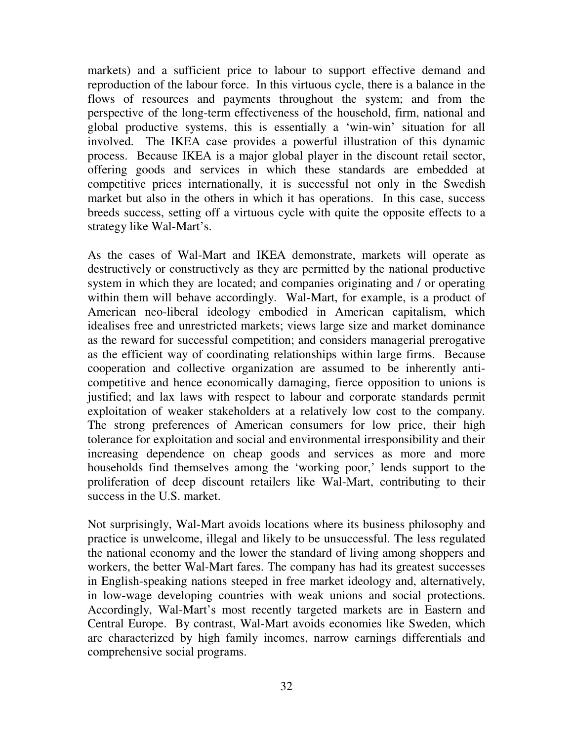markets) and a sufficient price to labour to support effective demand and reproduction of the labour force. In this virtuous cycle, there is a balance in the flows of resources and payments throughout the system; and from the perspective of the long-term effectiveness of the household, firm, national and global productive systems, this is essentially a 'win-win' situation for all involved. The IKEA case provides a powerful illustration of this dynamic process. Because IKEA is a major global player in the discount retail sector, offering goods and services in which these standards are embedded at competitive prices internationally, it is successful not only in the Swedish market but also in the others in which it has operations. In this case, success breeds success, setting off a virtuous cycle with quite the opposite effects to a strategy like Wal-Mart's.

As the cases of Wal-Mart and IKEA demonstrate, markets will operate as destructively or constructively as they are permitted by the national productive system in which they are located; and companies originating and / or operating within them will behave accordingly. Wal-Mart, for example, is a product of American neo-liberal ideology embodied in American capitalism, which idealises free and unrestricted markets; views large size and market dominance as the reward for successful competition; and considers managerial prerogative as the efficient way of coordinating relationships within large firms. Because cooperation and collective organization are assumed to be inherently anticompetitive and hence economically damaging, fierce opposition to unions is justified; and lax laws with respect to labour and corporate standards permit exploitation of weaker stakeholders at a relatively low cost to the company. The strong preferences of American consumers for low price, their high tolerance for exploitation and social and environmental irresponsibility and their increasing dependence on cheap goods and services as more and more households find themselves among the 'working poor,' lends support to the proliferation of deep discount retailers like Wal-Mart, contributing to their success in the U.S. market.

Not surprisingly, Wal-Mart avoids locations where its business philosophy and practice is unwelcome, illegal and likely to be unsuccessful. The less regulated the national economy and the lower the standard of living among shoppers and workers, the better Wal-Mart fares. The company has had its greatest successes in English-speaking nations steeped in free market ideology and, alternatively, in low-wage developing countries with weak unions and social protections. Accordingly, Wal-Mart's most recently targeted markets are in Eastern and Central Europe. By contrast, Wal-Mart avoids economies like Sweden, which are characterized by high family incomes, narrow earnings differentials and comprehensive social programs.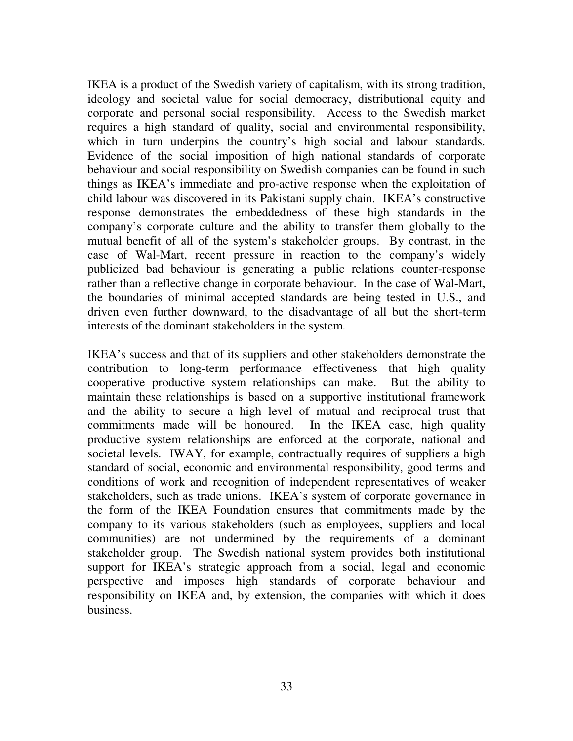IKEA is a product of the Swedish variety of capitalism, with its strong tradition, ideology and societal value for social democracy, distributional equity and corporate and personal social responsibility. Access to the Swedish market requires a high standard of quality, social and environmental responsibility, which in turn underpins the country's high social and labour standards. Evidence of the social imposition of high national standards of corporate behaviour and social responsibility on Swedish companies can be found in such things as IKEA's immediate and pro-active response when the exploitation of child labour was discovered in its Pakistani supply chain. IKEA's constructive response demonstrates the embeddedness of these high standards in the company's corporate culture and the ability to transfer them globally to the mutual benefit of all of the system's stakeholder groups. By contrast, in the case of Wal-Mart, recent pressure in reaction to the company's widely publicized bad behaviour is generating a public relations counter-response rather than a reflective change in corporate behaviour. In the case of Wal-Mart, the boundaries of minimal accepted standards are being tested in U.S., and driven even further downward, to the disadvantage of all but the short-term interests of the dominant stakeholders in the system.

IKEA's success and that of its suppliers and other stakeholders demonstrate the contribution to long-term performance effectiveness that high quality cooperative productive system relationships can make. But the ability to maintain these relationships is based on a supportive institutional framework and the ability to secure a high level of mutual and reciprocal trust that commitments made will be honoured. In the IKEA case, high quality productive system relationships are enforced at the corporate, national and societal levels. IWAY, for example, contractually requires of suppliers a high standard of social, economic and environmental responsibility, good terms and conditions of work and recognition of independent representatives of weaker stakeholders, such as trade unions. IKEA's system of corporate governance in the form of the IKEA Foundation ensures that commitments made by the company to its various stakeholders (such as employees, suppliers and local communities) are not undermined by the requirements of a dominant stakeholder group. The Swedish national system provides both institutional support for IKEA's strategic approach from a social, legal and economic perspective and imposes high standards of corporate behaviour and responsibility on IKEA and, by extension, the companies with which it does business.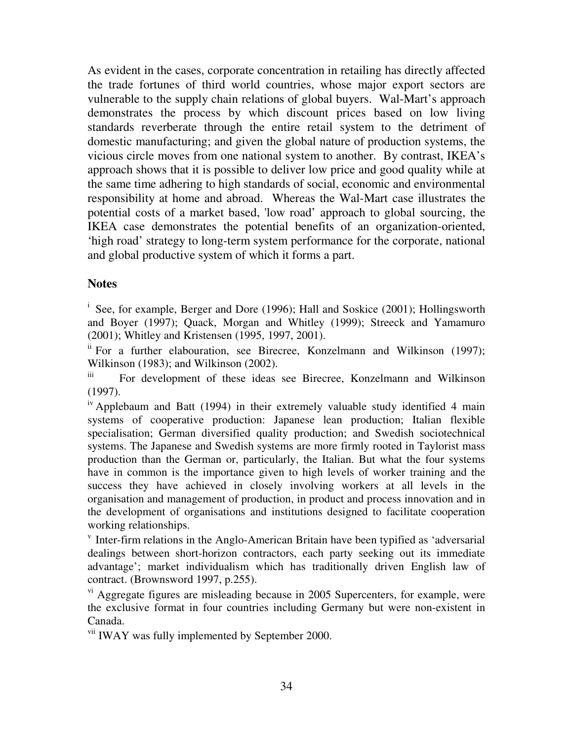As evident in the cases, corporate concentration in retailing has directly affected the trade fortunes of third world countries, whose major export sectors are vulnerable to the supply chain relations of global buyers. Wal-Mart's approach demonstrates the process by which discount prices based on low living standards reverberate through the entire retail system to the detriment of domestic manufacturing; and given the global nature of production systems, the vicious circle moves from one national system to another. By contrast, IKEA's approach shows that it is possible to deliver low price and good quality while at the same time adhering to high standards of social, economic and environmental responsibility at home and abroad. Whereas the Wal-Mart case illustrates the potential costs of a market based, 'low road' approach to global sourcing, the IKEA case demonstrates the potential benefits of an organization-oriented, 'high road' strategy to long-term system performance for the corporate, national and global productive system of which it forms a part.

#### **Notes**

<sup>i</sup> See, for example, Berger and Dore (1996); Hall and Soskice (2001); Hollingsworth and Boyer (1997); Quack, Morgan and Whitley (1999); Streeck and Yamamuro (2001); Whitley and Kristensen (1995, 1997, 2001).

ii For a further elabouration, see Birecree, Konzelmann and Wilkinson (1997); Wilkinson (1983); and Wilkinson (2002).

iii For development of these ideas see Birecree, Konzelmann and Wilkinson (1997).

<sup>iv</sup> Applebaum and Batt (1994) in their extremely valuable study identified 4 main systems of cooperative production: Japanese lean production; Italian flexible specialisation; German diversified quality production; and Swedish sociotechnical systems. The Japanese and Swedish systems are more firmly rooted in Taylorist mass production than the German or, particularly, the Italian. But what the four systems have in common is the importance given to high levels of worker training and the success they have achieved in closely involving workers at all levels in the organisation and management of production, in product and process innovation and in the development of organisations and institutions designed to facilitate cooperation working relationships.

v Inter-firm relations in the Anglo-American Britain have been typified as 'adversarial dealings between short-horizon contractors, each party seeking out its immediate advantage'; market individualism which has traditionally driven English law of contract. (Brownsword 1997, p.255).

 $\gamma$ <sup>i</sup> Aggregate figures are misleading because in 2005 Supercenters, for example, were the exclusive format in four countries including Germany but were non-existent in Canada.

<sup>vii</sup> IWAY was fully implemented by September 2000.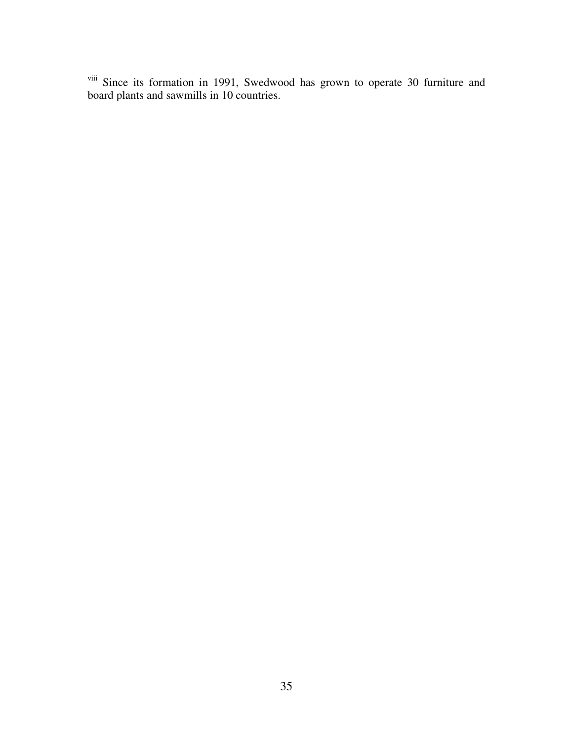<sup>viii</sup> Since its formation in 1991, Swedwood has grown to operate 30 furniture and board plants and sawmills in 10 countries.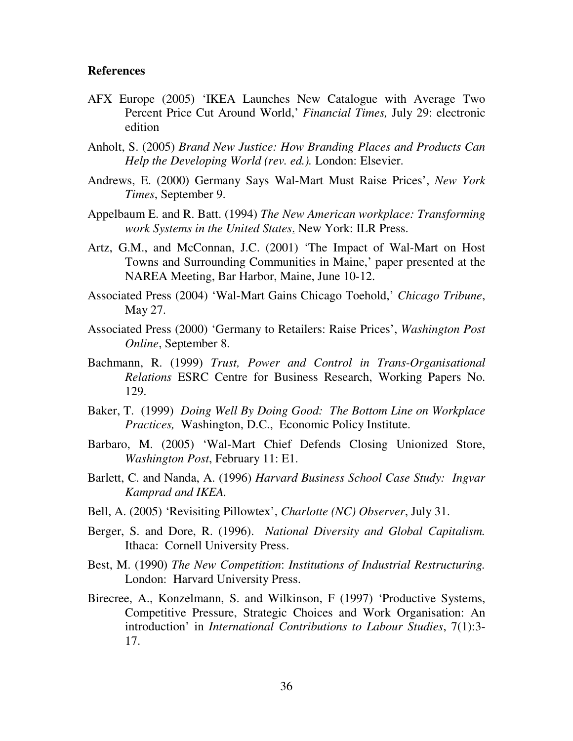#### **References**

- AFX Europe (2005) 'IKEA Launches New Catalogue with Average Two Percent Price Cut Around World,' *Financial Times,* July 29: electronic edition
- Anholt, S. (2005) *Brand New Justice: How Branding Places and Products Can Help the Developing World (rev. ed.).* London: Elsevier.
- Andrews, E. (2000) Germany Says Wal-Mart Must Raise Prices', *New York Times*, September 9.
- Appelbaum E. and R. Batt. (1994) *The New American workplace: Transforming work Systems in the United States*. New York: ILR Press.
- Artz, G.M., and McConnan, J.C. (2001) 'The Impact of Wal-Mart on Host Towns and Surrounding Communities in Maine,' paper presented at the NAREA Meeting, Bar Harbor, Maine, June 10-12.
- Associated Press (2004) 'Wal-Mart Gains Chicago Toehold,' *Chicago Tribune*, May 27.
- Associated Press (2000) 'Germany to Retailers: Raise Prices', *Washington Post Online*, September 8.
- Bachmann, R. (1999) *Trust, Power and Control in Trans-Organisational Relations* ESRC Centre for Business Research, Working Papers No. 129.
- Baker, T. (1999) *Doing Well By Doing Good: The Bottom Line on Workplace Practices,* Washington, D.C., Economic Policy Institute.
- Barbaro, M. (2005) 'Wal-Mart Chief Defends Closing Unionized Store, *Washington Post*, February 11: E1.
- Barlett, C. and Nanda, A. (1996) *Harvard Business School Case Study: Ingvar Kamprad and IKEA.*
- Bell, A. (2005) 'Revisiting Pillowtex', *Charlotte (NC) Observer*, July 31.
- Berger, S. and Dore, R. (1996). *National Diversity and Global Capitalism.* Ithaca: Cornell University Press.
- Best, M. (1990) *The New Competition*: *Institutions of Industrial Restructuring.* London: Harvard University Press.
- Birecree, A., Konzelmann, S. and Wilkinson, F (1997) 'Productive Systems, Competitive Pressure, Strategic Choices and Work Organisation: An introduction' in *International Contributions to Labour Studies*, 7(1):3- 17.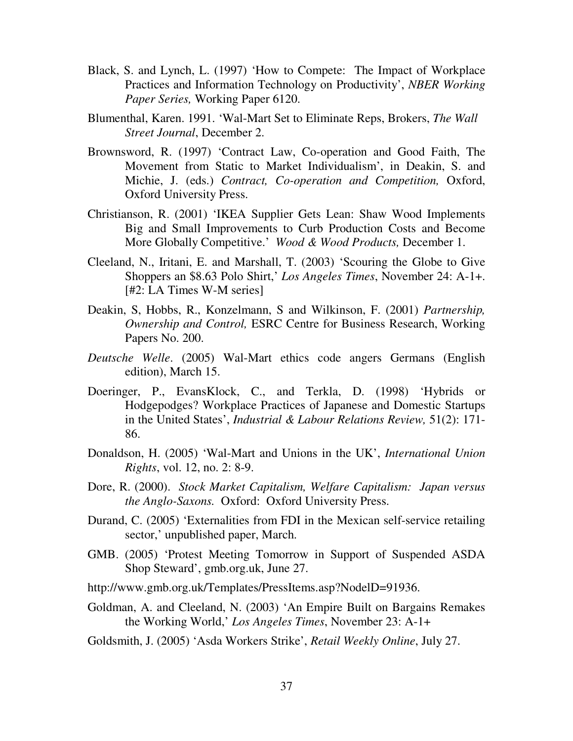- Black, S. and Lynch, L. (1997) 'How to Compete: The Impact of Workplace Practices and Information Technology on Productivity', *NBER Working Paper Series,* Working Paper 6120.
- Blumenthal, Karen. 1991. 'Wal-Mart Set to Eliminate Reps, Brokers, *The Wall Street Journal*, December 2.
- Brownsword, R. (1997) 'Contract Law, Co-operation and Good Faith, The Movement from Static to Market Individualism', in Deakin, S. and Michie, J. (eds.) *Contract, Co-operation and Competition,* Oxford, Oxford University Press.
- Christianson, R. (2001) 'IKEA Supplier Gets Lean: Shaw Wood Implements Big and Small Improvements to Curb Production Costs and Become More Globally Competitive.' *Wood & Wood Products,* December 1.
- Cleeland, N., Iritani, E. and Marshall, T. (2003) 'Scouring the Globe to Give Shoppers an \$8.63 Polo Shirt,' *Los Angeles Times*, November 24: A-1+. [#2: LA Times W-M series]
- Deakin, S, Hobbs, R., Konzelmann, S and Wilkinson, F. (2001) *Partnership, Ownership and Control,* ESRC Centre for Business Research, Working Papers No. 200.
- *Deutsche Welle*. (2005) Wal-Mart ethics code angers Germans (English edition), March 15.
- Doeringer, P., EvansKlock, C., and Terkla, D. (1998) 'Hybrids or Hodgepodges? Workplace Practices of Japanese and Domestic Startups in the United States', *Industrial & Labour Relations Review,* 51(2): 171- 86.
- Donaldson, H. (2005) 'Wal-Mart and Unions in the UK', *International Union Rights*, vol. 12, no. 2: 8-9.
- Dore, R. (2000). *Stock Market Capitalism, Welfare Capitalism: Japan versus the Anglo-Saxons.* Oxford: Oxford University Press.
- Durand, C. (2005) 'Externalities from FDI in the Mexican self-service retailing sector,' unpublished paper, March.
- GMB. (2005) 'Protest Meeting Tomorrow in Support of Suspended ASDA Shop Steward', gmb.org.uk, June 27.
- http://www.gmb.org.uk/Templates/PressItems.asp?NodelD=91936.
- Goldman, A. and Cleeland, N. (2003) 'An Empire Built on Bargains Remakes the Working World,' *Los Angeles Times*, November 23: A-1+
- Goldsmith, J. (2005) 'Asda Workers Strike', *Retail Weekly Online*, July 27.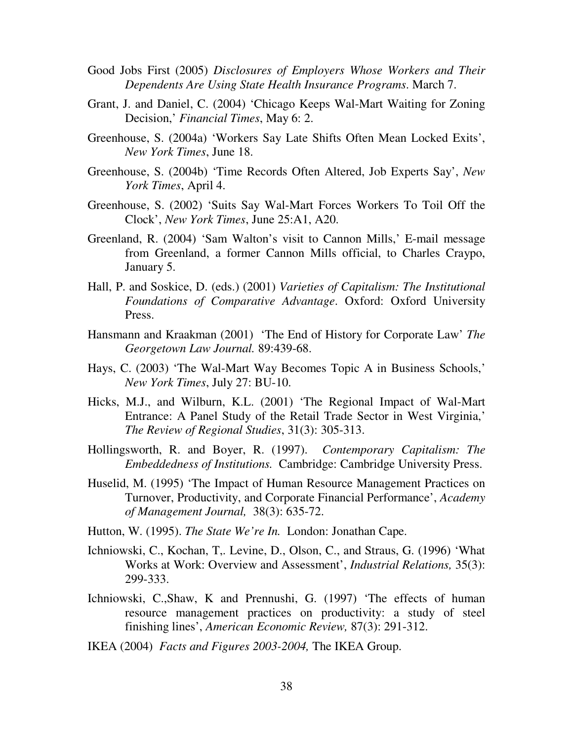- Good Jobs First (2005) *Disclosures of Employers Whose Workers and Their Dependents Are Using State Health Insurance Programs*. March 7.
- Grant, J. and Daniel, C. (2004) 'Chicago Keeps Wal-Mart Waiting for Zoning Decision,' *Financial Times*, May 6: 2.
- Greenhouse, S. (2004a) 'Workers Say Late Shifts Often Mean Locked Exits', *New York Times*, June 18.
- Greenhouse, S. (2004b) 'Time Records Often Altered, Job Experts Say', *New York Times*, April 4.
- Greenhouse, S. (2002) 'Suits Say Wal-Mart Forces Workers To Toil Off the Clock', *New York Times*, June 25:A1, A20.
- Greenland, R. (2004) 'Sam Walton's visit to Cannon Mills,' E-mail message from Greenland, a former Cannon Mills official, to Charles Craypo, January 5.
- Hall, P. and Soskice, D. (eds.) (2001) *Varieties of Capitalism: The Institutional Foundations of Comparative Advantage*. Oxford: Oxford University Press.
- Hansmann and Kraakman (2001) 'The End of History for Corporate Law' *The Georgetown Law Journal.* 89:439-68.
- Hays, C. (2003) 'The Wal-Mart Way Becomes Topic A in Business Schools,' *New York Times*, July 27: BU-10.
- Hicks, M.J., and Wilburn, K.L. (2001) 'The Regional Impact of Wal-Mart Entrance: A Panel Study of the Retail Trade Sector in West Virginia,' *The Review of Regional Studies*, 31(3): 305-313.
- Hollingsworth, R. and Boyer, R. (1997). *Contemporary Capitalism: The Embeddedness of Institutions.* Cambridge: Cambridge University Press.
- Huselid, M. (1995) 'The Impact of Human Resource Management Practices on Turnover, Productivity, and Corporate Financial Performance', *Academy of Management Journal,* 38(3): 635-72.
- Hutton, W. (1995). *The State We're In.* London: Jonathan Cape.
- Ichniowski, C., Kochan, T,. Levine, D., Olson, C., and Straus, G. (1996) 'What Works at Work: Overview and Assessment', *Industrial Relations,* 35(3): 299-333.
- Ichniowski, C.,Shaw, K and Prennushi, G. (1997) 'The effects of human resource management practices on productivity: a study of steel finishing lines', *American Economic Review,* 87(3): 291-312.
- IKEA (2004) *Facts and Figures 2003-2004,* The IKEA Group.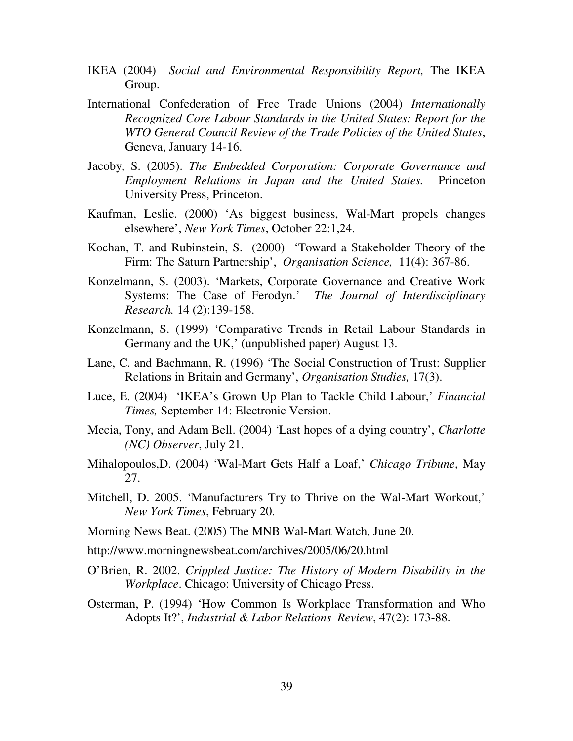- IKEA (2004) *Social and Environmental Responsibility Report,* The IKEA Group.
- International Confederation of Free Trade Unions (2004) *Internationally Recognized Core Labour Standards in the United States: Report for the WTO General Council Review of the Trade Policies of the United States*, Geneva, January 14-16.
- Jacoby, S. (2005). *The Embedded Corporation: Corporate Governance and Employment Relations in Japan and the United States.* Princeton University Press, Princeton.
- Kaufman, Leslie. (2000) 'As biggest business, Wal-Mart propels changes elsewhere', *New York Times*, October 22:1,24.
- Kochan, T. and Rubinstein, S. (2000) 'Toward a Stakeholder Theory of the Firm: The Saturn Partnership', *Organisation Science,* 11(4): 367-86.
- Konzelmann, S. (2003). 'Markets, Corporate Governance and Creative Work Systems: The Case of Ferodyn.' *The Journal of Interdisciplinary Research.* 14 (2):139-158.
- Konzelmann, S. (1999) 'Comparative Trends in Retail Labour Standards in Germany and the UK,' (unpublished paper) August 13.
- Lane, C. and Bachmann, R. (1996) 'The Social Construction of Trust: Supplier Relations in Britain and Germany', *Organisation Studies,* 17(3).
- Luce, E. (2004) 'IKEA's Grown Up Plan to Tackle Child Labour,' *Financial Times,* September 14: Electronic Version.
- Mecia, Tony, and Adam Bell. (2004) 'Last hopes of a dying country', *Charlotte (NC) Observer*, July 21.
- Mihalopoulos,D. (2004) 'Wal-Mart Gets Half a Loaf,' *Chicago Tribune*, May 27.
- Mitchell, D. 2005. 'Manufacturers Try to Thrive on the Wal-Mart Workout,' *New York Times*, February 20.
- Morning News Beat. (2005) The MNB Wal-Mart Watch, June 20.
- http://www.morningnewsbeat.com/archives/2005/06/20.html
- O'Brien, R. 2002. *Crippled Justice: The History of Modern Disability in the Workplace*. Chicago: University of Chicago Press.
- Osterman, P. (1994) 'How Common Is Workplace Transformation and Who Adopts It?', *Industrial & Labor Relations Review*, 47(2): 173-88.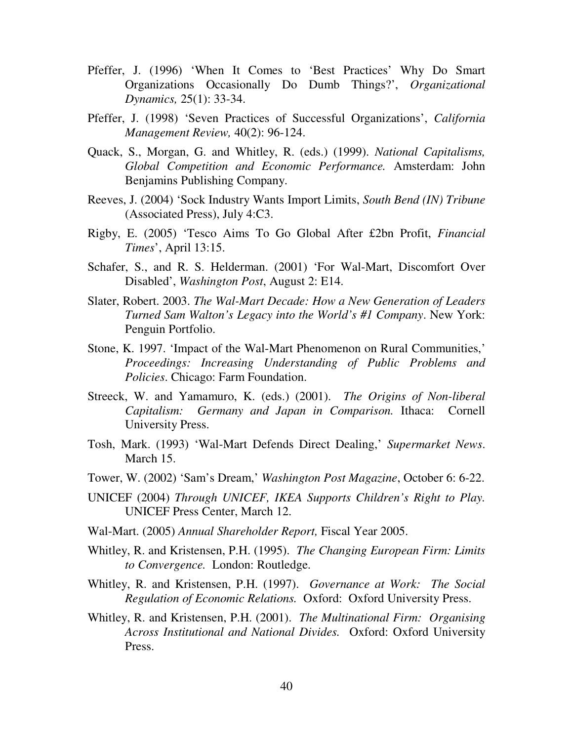- Pfeffer, J. (1996) 'When It Comes to 'Best Practices' Why Do Smart Organizations Occasionally Do Dumb Things?', *Organizational Dynamics,* 25(1): 33-34.
- Pfeffer, J. (1998) 'Seven Practices of Successful Organizations', *California Management Review,* 40(2): 96-124.
- Quack, S., Morgan, G. and Whitley, R. (eds.) (1999). *National Capitalisms, Global Competition and Economic Performance.* Amsterdam: John Benjamins Publishing Company.
- Reeves, J. (2004) 'Sock Industry Wants Import Limits, *South Bend (IN) Tribune* (Associated Press), July 4:C3.
- Rigby, E. (2005) 'Tesco Aims To Go Global After £2bn Profit, *Financial Times*', April 13:15.
- Schafer, S., and R. S. Helderman. (2001) 'For Wal-Mart, Discomfort Over Disabled', *Washington Post*, August 2: E14.
- Slater, Robert. 2003. *The Wal-Mart Decade: How a New Generation of Leaders Turned Sam Walton's Legacy into the World's #1 Company*. New York: Penguin Portfolio.
- Stone, K. 1997. 'Impact of the Wal-Mart Phenomenon on Rural Communities,' *Proceedings: Increasing Understanding of Public Problems and Policies*. Chicago: Farm Foundation.
- Streeck, W. and Yamamuro, K. (eds.) (2001). *The Origins of Non-liberal Capitalism: Germany and Japan in Comparison.* Ithaca: Cornell University Press.
- Tosh, Mark. (1993) 'Wal-Mart Defends Direct Dealing,' *Supermarket News*. March 15.
- Tower, W. (2002) 'Sam's Dream,' *Washington Post Magazine*, October 6: 6-22.
- UNICEF (2004) *Through UNICEF, IKEA Supports Children's Right to Play.* UNICEF Press Center, March 12.
- Wal-Mart. (2005) *Annual Shareholder Report,* Fiscal Year 2005.
- Whitley, R. and Kristensen, P.H. (1995). *The Changing European Firm: Limits to Convergence.* London: Routledge.
- Whitley, R. and Kristensen, P.H. (1997). *Governance at Work: The Social Regulation of Economic Relations.* Oxford: Oxford University Press.
- Whitley, R. and Kristensen, P.H. (2001). *The Multinational Firm: Organising Across Institutional and National Divides.* Oxford: Oxford University Press.